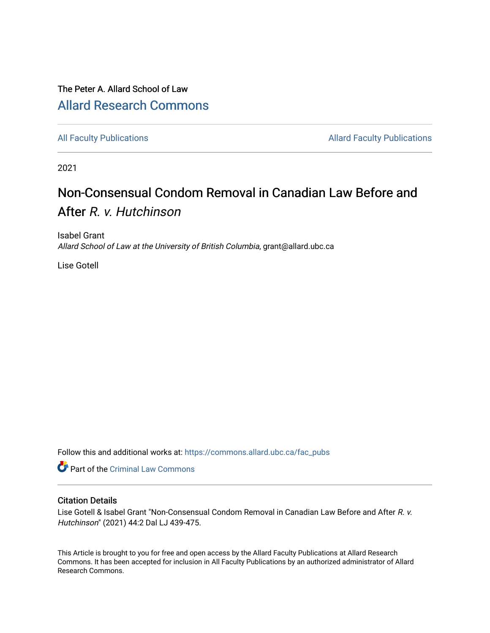# The Peter A. Allard School of Law [Allard Research Commons](https://commons.allard.ubc.ca/)

[All Faculty Publications](https://commons.allard.ubc.ca/fac_pubs) **Allard Faculty Publications** Allard Faculty Publications

2021

# Non-Consensual Condom Removal in Canadian Law Before and After R. v. Hutchinson

Isabel Grant Allard School of Law at the University of British Columbia, grant@allard.ubc.ca

Lise Gotell

Follow this and additional works at: [https://commons.allard.ubc.ca/fac\\_pubs](https://commons.allard.ubc.ca/fac_pubs?utm_source=commons.allard.ubc.ca%2Ffac_pubs%2F683&utm_medium=PDF&utm_campaign=PDFCoverPages)

Part of the [Criminal Law Commons](http://network.bepress.com/hgg/discipline/912?utm_source=commons.allard.ubc.ca%2Ffac_pubs%2F683&utm_medium=PDF&utm_campaign=PDFCoverPages) 

# Citation Details

Lise Gotell & Isabel Grant "Non-Consensual Condom Removal in Canadian Law Before and After R. v. Hutchinson" (2021) 44:2 Dal LJ 439-475.

This Article is brought to you for free and open access by the Allard Faculty Publications at Allard Research Commons. It has been accepted for inclusion in All Faculty Publications by an authorized administrator of Allard Research Commons.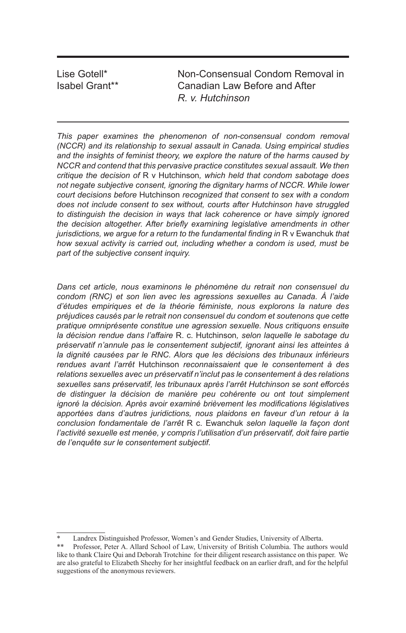Lise Gotell\* Non-Consensual Condom Removal in Isabel Grant\*\* Canadian Law Before and After *R. v. Hutchinson*

*This paper examines the phenomenon of non-consensual condom removal (NCCR) and its relationship to sexual assault in Canada. Using empirical studies and the insights of feminist theory, we explore the nature of the harms caused by NCCR and contend that this pervasive practice constitutes sexual assault. We then critique the decision of* R v Hutchinson*, which held that condom sabotage does not negate subjective consent, ignoring the dignitary harms of NCCR. While lower court decisions before* Hutchinson *recognized that consent to sex with a condom does not include consent to sex without, courts after Hutchinson have struggled to distinguish the decision in ways that lack coherence or have simply ignored the decision altogether. After briefly examining legislative amendments in other jurisdictions, we argue for a return to the fundamental finding in* R v Ewanchuk that *how sexual activity is carried out, including whether a condom is used, must be part of the subjective consent inquiry.*

*Dans cet article, nous examinons le phénomène du retrait non consensuel du condom (RNC) et son lien avec les agressions sexuelles au Canada. À l'aide d'études empiriques et de la théorie féministe, nous explorons la nature des préjudices causés par le retrait non consensuel du condom et soutenons que cette pratique omniprésente constitue une agression sexuelle. Nous critiquons ensuite la décision rendue dans l'affaire* R. c. Hutchinson*, selon laquelle le sabotage du préservatif n'annule pas le consentement subjectif, ignorant ainsi les atteintes à*  la dignité causées par le RNC. Alors que les décisions des tribunaux inférieurs *rendues avant l'arrêt* Hutchinson *reconnaissaient que le consentement à des relations sexuelles avec un préservatif n'inclut pas le consentement à des relations sexuelles sans préservatif, les tribunaux après l'arrêt Hutchinson se sont efforcés de distinguer la décision de manière peu cohérente ou ont tout simplement ignoré la décision. Après avoir examiné brièvement les modifications législatives apportées dans d'autres juridictions, nous plaidons en faveur d'un retour à la conclusion fondamentale de l'arrêt* R c. Ewanchuk *selon laquelle la façon dont*  l'activité sexuelle est menée, y compris l'utilisation d'un préservatif, doit faire partie *de l'enquête sur le consentement subjectif.*

<sup>\*</sup> Landrex Distinguished Professor, Women's and Gender Studies, University of Alberta.

<sup>\*\*</sup> Professor, Peter A. Allard School of Law, University of British Columbia. The authors would like to thank Claire Qui and Deborah Trotchine for their diligent research assistance on this paper. We are also grateful to Elizabeth Sheehy for her insightful feedback on an earlier draft, and for the helpful suggestions of the anonymous reviewers.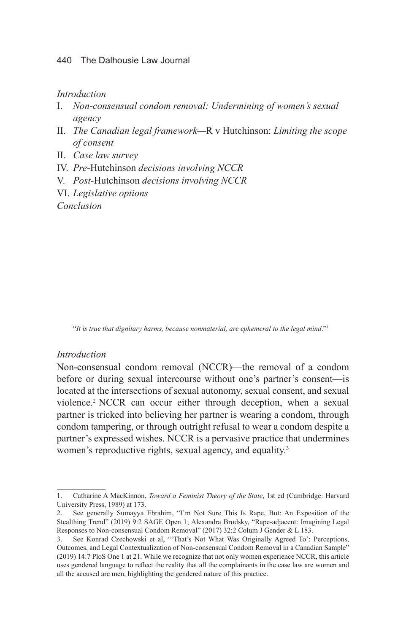#### 440 The Dalhousie Law Journal

*Introduction*

- I. *Non-consensual condom removal: Undermining of women's sexual agency*
- II. *The Canadian legal framework—*R v Hutchinson: *Limiting the scope of consent*
- II. *Case law survey*
- IV. *Pre-*Hutchinson *decisions involving NCCR*
- V. *Post-*Hutchinson *decisions involving NCCR*
- VI. *Legislative options*

*Conclusion*

"*It is true that dignitary harms, because nonmaterial, are ephemeral to the legal mind*."1

#### *Introduction*

Non-consensual condom removal (NCCR)—the removal of a condom before or during sexual intercourse without one's partner's consent—is located at the intersections of sexual autonomy, sexual consent, and sexual violence.2 NCCR can occur either through deception, when a sexual partner is tricked into believing her partner is wearing a condom, through condom tampering, or through outright refusal to wear a condom despite a partner's expressed wishes. NCCR is a pervasive practice that undermines women's reproductive rights, sexual agency, and equality.<sup>3</sup>

<sup>1.</sup> Catharine A MacKinnon, *Toward a Feminist Theory of the State*, 1st ed (Cambridge: Harvard University Press, 1989) at 173.

<sup>2.</sup> See generally Sumayya Ebrahim, "I'm Not Sure This Is Rape, But: An Exposition of the Stealthing Trend" (2019) 9:2 SAGE Open 1; Alexandra Brodsky, "Rape-adjacent: Imagining Legal Responses to Non-consensual Condom Removal" (2017) 32:2 Colum J Gender & L 183.

<sup>3.</sup> See Konrad Czechowski et al, "'That's Not What Was Originally Agreed To': Perceptions, Outcomes, and Legal Contextualization of Non-consensual Condom Removal in a Canadian Sample" (2019) 14:7 PloS One 1 at 21. While we recognize that not only women experience NCCR, this article uses gendered language to reflect the reality that all the complainants in the case law are women and all the accused are men, highlighting the gendered nature of this practice.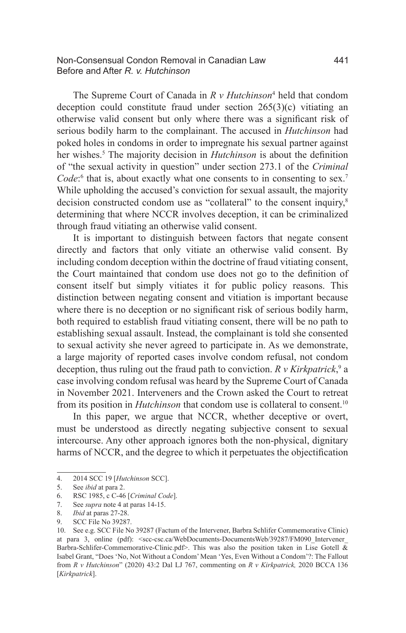#### Non-Consensual Condon Removal in Canadian Law 441 Before and After *R. v. Hutchinson*

The Supreme Court of Canada in *R v Hutchinson*<sup>4</sup> held that condom deception could constitute fraud under section 265(3)(c) vitiating an otherwise valid consent but only where there was a significant risk of serious bodily harm to the complainant. The accused in *Hutchinson* had poked holes in condoms in order to impregnate his sexual partner against her wishes.<sup>5</sup> The majority decision in *Hutchinson* is about the definition of "the sexual activity in question" under section 273.1 of the *Criminal*  Code:<sup>6</sup> that is, about exactly what one consents to in consenting to sex.<sup>7</sup> While upholding the accused's conviction for sexual assault, the majority decision constructed condom use as "collateral" to the consent inquiry,<sup>8</sup> determining that where NCCR involves deception, it can be criminalized through fraud vitiating an otherwise valid consent.

It is important to distinguish between factors that negate consent directly and factors that only vitiate an otherwise valid consent. By including condom deception within the doctrine of fraud vitiating consent, the Court maintained that condom use does not go to the definition of consent itself but simply vitiates it for public policy reasons. This distinction between negating consent and vitiation is important because where there is no deception or no significant risk of serious bodily harm, both required to establish fraud vitiating consent, there will be no path to establishing sexual assault. Instead, the complainant is told she consented to sexual activity she never agreed to participate in. As we demonstrate, a large majority of reported cases involve condom refusal, not condom deception, thus ruling out the fraud path to conviction. *R v Kirkpatrick*,<sup>9</sup> a case involving condom refusal was heard by the Supreme Court of Canada in November 2021. Interveners and the Crown asked the Court to retreat from its position in *Hutchinson* that condom use is collateral to consent.<sup>10</sup>

In this paper, we argue that NCCR, whether deceptive or overt, must be understood as directly negating subjective consent to sexual intercourse. Any other approach ignores both the non-physical, dignitary harms of NCCR, and the degree to which it perpetuates the objectification

<sup>4.</sup> 2014 SCC 19 [*Hutchinson* SCC].

<sup>5.</sup> See *ibid* at para 2.

<sup>6.</sup> RSC 1985, c C-46 [*Criminal Code*].

<sup>7.</sup> See *supra* note 4 at paras 14-15.

<sup>8.</sup> *Ibid* at paras 27-28.

<sup>9.</sup> SCC File No 39287.

<sup>10.</sup> See e.g. SCC File No 39287 (Factum of the Intervener, Barbra Schlifer Commemorative Clinic) at para 3, online (pdf): <scc-csc.ca/WebDocuments-DocumentsWeb/39287/FM090\_Intervener Barbra-Schlifer-Commemorative-Clinic.pdf>. This was also the position taken in Lise Gotell  $\overline{\&}$ Isabel Grant, "Does 'No, Not Without a Condom' Mean 'Yes, Even Without a Condom'?: The Fallout from *R v Hutchinson*" (2020) 43:2 Dal LJ 767, commenting on *R v Kirkpatrick,* 2020 BCCA 136 [*Kirkpatrick*].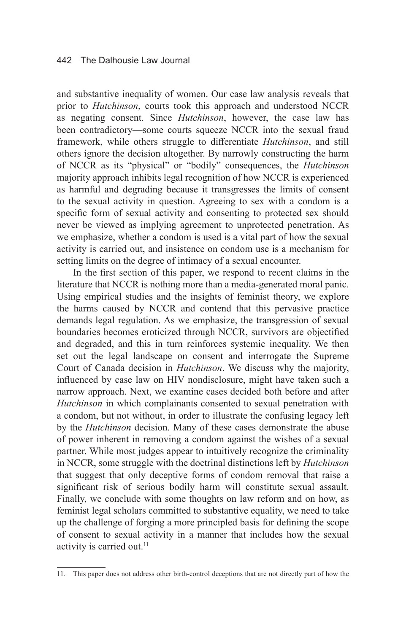#### 442 The Dalhousie Law Journal

and substantive inequality of women. Our case law analysis reveals that prior to *Hutchinson*, courts took this approach and understood NCCR as negating consent. Since *Hutchinson*, however, the case law has been contradictory—some courts squeeze NCCR into the sexual fraud framework, while others struggle to differentiate *Hutchinson*, and still others ignore the decision altogether. By narrowly constructing the harm of NCCR as its "physical" or "bodily" consequences, the *Hutchinson*  majority approach inhibits legal recognition of how NCCR is experienced as harmful and degrading because it transgresses the limits of consent to the sexual activity in question. Agreeing to sex with a condom is a specific form of sexual activity and consenting to protected sex should never be viewed as implying agreement to unprotected penetration. As we emphasize, whether a condom is used is a vital part of how the sexual activity is carried out, and insistence on condom use is a mechanism for setting limits on the degree of intimacy of a sexual encounter.

In the first section of this paper, we respond to recent claims in the literature that NCCR is nothing more than a media-generated moral panic. Using empirical studies and the insights of feminist theory, we explore the harms caused by NCCR and contend that this pervasive practice demands legal regulation. As we emphasize, the transgression of sexual boundaries becomes eroticized through NCCR, survivors are objectified and degraded, and this in turn reinforces systemic inequality. We then set out the legal landscape on consent and interrogate the Supreme Court of Canada decision in *Hutchinson*. We discuss why the majority, influenced by case law on HIV nondisclosure, might have taken such a narrow approach. Next, we examine cases decided both before and after *Hutchinson* in which complainants consented to sexual penetration with a condom, but not without, in order to illustrate the confusing legacy left by the *Hutchinson* decision. Many of these cases demonstrate the abuse of power inherent in removing a condom against the wishes of a sexual partner. While most judges appear to intuitively recognize the criminality in NCCR, some struggle with the doctrinal distinctions left by *Hutchinson*  that suggest that only deceptive forms of condom removal that raise a significant risk of serious bodily harm will constitute sexual assault. Finally, we conclude with some thoughts on law reform and on how, as feminist legal scholars committed to substantive equality, we need to take up the challenge of forging a more principled basis for defining the scope of consent to sexual activity in a manner that includes how the sexual activity is carried out.<sup>11</sup>

<sup>11.</sup> This paper does not address other birth-control deceptions that are not directly part of how the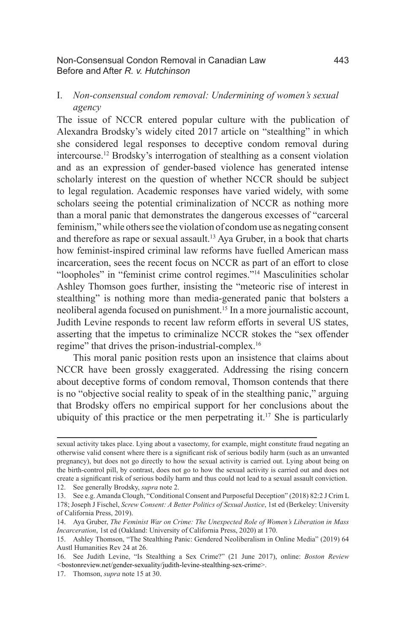#### Non-Consensual Condon Removal in Canadian Law 443 Before and After *R. v. Hutchinson*

## I. *Non-consensual condom removal: Undermining of women's sexual agency*

The issue of NCCR entered popular culture with the publication of Alexandra Brodsky's widely cited 2017 article on "stealthing" in which she considered legal responses to deceptive condom removal during intercourse.12 Brodsky's interrogation of stealthing as a consent violation and as an expression of gender-based violence has generated intense scholarly interest on the question of whether NCCR should be subject to legal regulation. Academic responses have varied widely, with some scholars seeing the potential criminalization of NCCR as nothing more than a moral panic that demonstrates the dangerous excesses of "carceral feminism," while others see the violation of condom use as negating consent and therefore as rape or sexual assault.<sup>13</sup> Aya Gruber, in a book that charts how feminist-inspired criminal law reforms have fuelled American mass incarceration, sees the recent focus on NCCR as part of an effort to close "loopholes" in "feminist crime control regimes."14 Masculinities scholar Ashley Thomson goes further, insisting the "meteoric rise of interest in stealthing" is nothing more than media-generated panic that bolsters a neoliberal agenda focused on punishment.15 In a more journalistic account, Judith Levine responds to recent law reform efforts in several US states, asserting that the impetus to criminalize NCCR stokes the "sex offender regime" that drives the prison-industrial-complex.16

This moral panic position rests upon an insistence that claims about NCCR have been grossly exaggerated. Addressing the rising concern about deceptive forms of condom removal, Thomson contends that there is no "objective social reality to speak of in the stealthing panic," arguing that Brodsky offers no empirical support for her conclusions about the ubiquity of this practice or the men perpetrating it.<sup>17</sup> She is particularly

12. See generally Brodsky, *supra* note 2.

sexual activity takes place. Lying about a vasectomy, for example, might constitute fraud negating an otherwise valid consent where there is a significant risk of serious bodily harm (such as an unwanted pregnancy), but does not go directly to how the sexual activity is carried out. Lying about being on the birth-control pill, by contrast, does not go to how the sexual activity is carried out and does not create a significant risk of serious bodily harm and thus could not lead to a sexual assault conviction.

<sup>13.</sup> See e.g. Amanda Clough, "Conditional Consent and Purposeful Deception" (2018) 82:2 J Crim L 178; Joseph J Fischel, *Screw Consent: A Better Politics of Sexual Justice*, 1st ed (Berkeley: University of California Press, 2019).

<sup>14.</sup> Aya Gruber, *The Feminist War on Crime: The Unexpected Role of Women's Liberation in Mass Incarceration*, 1st ed (Oakland: University of California Press, 2020) at 170.

<sup>15.</sup> Ashley Thomson, "The Stealthing Panic: Gendered Neoliberalism in Online Media" (2019) 64 Austl Humanities Rev 24 at 26.

<sup>16.</sup> See Judith Levine, "Is Stealthing a Sex Crime?" (21 June 2017), online: *Boston Review <*bostonreview.net/gender-sexuality/judith-levine-stealthing-sex-crime>.

<sup>17.</sup> Thomson, *supra* note 15 at 30.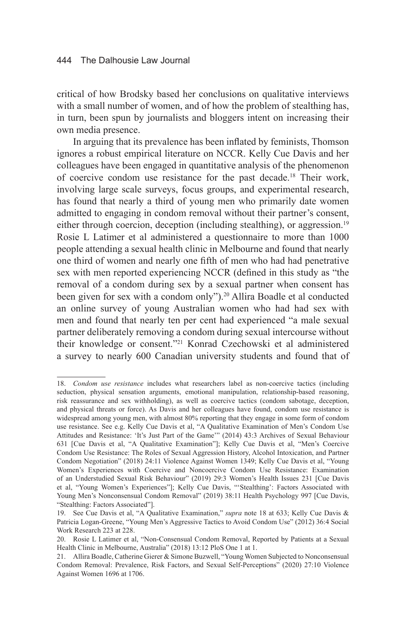critical of how Brodsky based her conclusions on qualitative interviews with a small number of women, and of how the problem of stealthing has, in turn, been spun by journalists and bloggers intent on increasing their own media presence.

In arguing that its prevalence has been inflated by feminists, Thomson ignores a robust empirical literature on NCCR. Kelly Cue Davis and her colleagues have been engaged in quantitative analysis of the phenomenon of coercive condom use resistance for the past decade.<sup>18</sup> Their work, involving large scale surveys, focus groups, and experimental research, has found that nearly a third of young men who primarily date women admitted to engaging in condom removal without their partner's consent, either through coercion, deception (including stealthing), or aggression.<sup>19</sup> Rosie L Latimer et al administered a questionnaire to more than 1000 people attending a sexual health clinic in Melbourne and found that nearly one third of women and nearly one fifth of men who had had penetrative sex with men reported experiencing NCCR (defined in this study as "the removal of a condom during sex by a sexual partner when consent has been given for sex with a condom only").<sup>20</sup> Allira Boadle et al conducted an online survey of young Australian women who had had sex with men and found that nearly ten per cent had experienced "a male sexual partner deliberately removing a condom during sexual intercourse without their knowledge or consent."21 Konrad Czechowski et al administered a survey to nearly 600 Canadian university students and found that of

<sup>18.</sup> *Condom use resistance* includes what researchers label as non-coercive tactics (including seduction, physical sensation arguments, emotional manipulation, relationship-based reasoning, risk reassurance and sex withholding), as well as coercive tactics (condom sabotage, deception, and physical threats or force). As Davis and her colleagues have found, condom use resistance is widespread among young men, with almost 80% reporting that they engage in some form of condom use resistance. See e.g. Kelly Cue Davis et al, "A Qualitative Examination of Men's Condom Use Attitudes and Resistance: 'It's Just Part of the Game'" (2014) 43:3 Archives of Sexual Behaviour 631 [Cue Davis et al, "A Qualitative Examination"]; Kelly Cue Davis et al, "Men's Coercive Condom Use Resistance: The Roles of Sexual Aggression History, Alcohol Intoxication, and Partner Condom Negotiation" (2018) 24:11 Violence Against Women 1349; Kelly Cue Davis et al, "Young Women's Experiences with Coercive and Noncoercive Condom Use Resistance: Examination of an Understudied Sexual Risk Behaviour" (2019) 29:3 Women's Health Issues 231 [Cue Davis et al, "Young Women's Experiences"]; Kelly Cue Davis, "'Stealthing': Factors Associated with Young Men's Nonconsensual Condom Removal" (2019) 38:11 Health Psychology 997 [Cue Davis, "Stealthing: Factors Associated"].

<sup>19.</sup> See Cue Davis et al, "A Qualitative Examination," *supra* note 18 at 633; Kelly Cue Davis & Patricia Logan-Greene, "Young Men's Aggressive Tactics to Avoid Condom Use" (2012) 36:4 Social Work Research 223 at 228.

<sup>20.</sup> Rosie L Latimer et al, "Non-Consensual Condom Removal, Reported by Patients at a Sexual Health Clinic in Melbourne, Australia" (2018) 13:12 PloS One 1 at 1.

<sup>21.</sup> Allira Boadle, Catherine Gierer & Simone Buzwell, "Young Women Subjected to Nonconsensual Condom Removal: Prevalence, Risk Factors, and Sexual Self-Perceptions" (2020) 27:10 Violence Against Women 1696 at 1706.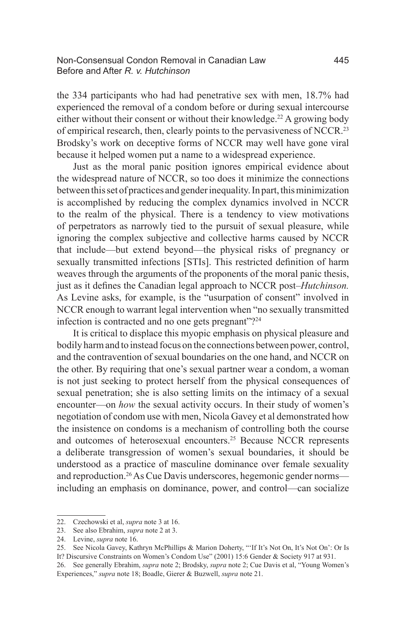#### Non-Consensual Condon Removal in Canadian Law 445 Before and After *R. v. Hutchinson*

the 334 participants who had had penetrative sex with men, 18.7% had experienced the removal of a condom before or during sexual intercourse either without their consent or without their knowledge.<sup>22</sup> A growing body of empirical research, then, clearly points to the pervasiveness of NCCR.23 Brodsky's work on deceptive forms of NCCR may well have gone viral because it helped women put a name to a widespread experience.

Just as the moral panic position ignores empirical evidence about the widespread nature of NCCR, so too does it minimize the connections between this set of practices and gender inequality. In part, this minimization is accomplished by reducing the complex dynamics involved in NCCR to the realm of the physical. There is a tendency to view motivations of perpetrators as narrowly tied to the pursuit of sexual pleasure, while ignoring the complex subjective and collective harms caused by NCCR that include—but extend beyond—the physical risks of pregnancy or sexually transmitted infections [STIs]. This restricted definition of harm weaves through the arguments of the proponents of the moral panic thesis, just as it defines the Canadian legal approach to NCCR post–*Hutchinson.*  As Levine asks, for example, is the "usurpation of consent" involved in NCCR enough to warrant legal intervention when "no sexually transmitted infection is contracted and no one gets pregnant"?<sup>24</sup>

It is critical to displace this myopic emphasis on physical pleasure and bodily harm and to instead focus on the connections between power, control, and the contravention of sexual boundaries on the one hand, and NCCR on the other. By requiring that one's sexual partner wear a condom, a woman is not just seeking to protect herself from the physical consequences of sexual penetration; she is also setting limits on the intimacy of a sexual encounter—on *how* the sexual activity occurs. In their study of women's negotiation of condom use with men, Nicola Gavey et al demonstrated how the insistence on condoms is a mechanism of controlling both the course and outcomes of heterosexual encounters.25 Because NCCR represents a deliberate transgression of women's sexual boundaries, it should be understood as a practice of masculine dominance over female sexuality and reproduction.<sup>26</sup> As Cue Davis underscores, hegemonic gender norms including an emphasis on dominance, power, and control—can socialize

<sup>22.</sup> Czechowski et al, *supra* note 3 at 16.

<sup>23.</sup> See also Ebrahim, *supra* note 2 at 3.

<sup>24.</sup> Levine, *supra* note 16.

<sup>25.</sup> See Nicola Gavey, Kathryn McPhillips & Marion Doherty, "'If It's Not On, It's Not On': Or Is It? Discursive Constraints on Women's Condom Use" (2001) 15:6 Gender & Society 917 at 931.

<sup>26.</sup> See generally Ebrahim, *supra* note 2; Brodsky, *supra* note 2; Cue Davis et al, "Young Women's Experiences," *supra* note 18; Boadle, Gierer & Buzwell, *supra* note 21.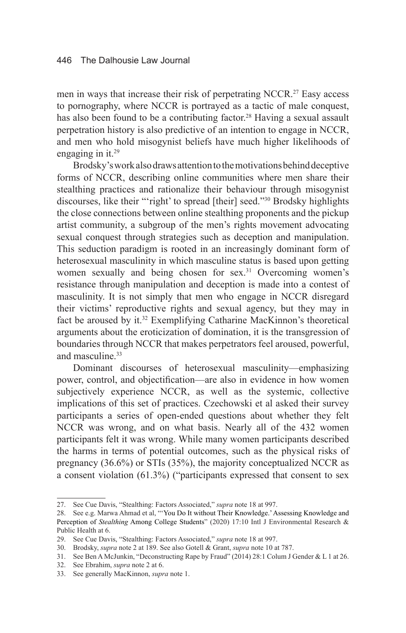men in ways that increase their risk of perpetrating NCCR.<sup>27</sup> Easy access to pornography, where NCCR is portrayed as a tactic of male conquest, has also been found to be a contributing factor.<sup>28</sup> Having a sexual assault perpetration history is also predictive of an intention to engage in NCCR, and men who hold misogynist beliefs have much higher likelihoods of engaging in it.<sup>29</sup>

Brodsky's work also draws attention to the motivations behind deceptive forms of NCCR, describing online communities where men share their stealthing practices and rationalize their behaviour through misogynist discourses, like their "'right' to spread [their] seed."30 Brodsky highlights the close connections between online stealthing proponents and the pickup artist community, a subgroup of the men's rights movement advocating sexual conquest through strategies such as deception and manipulation. This seduction paradigm is rooted in an increasingly dominant form of heterosexual masculinity in which masculine status is based upon getting women sexually and being chosen for sex.<sup>31</sup> Overcoming women's resistance through manipulation and deception is made into a contest of masculinity. It is not simply that men who engage in NCCR disregard their victims' reproductive rights and sexual agency, but they may in fact be aroused by it.<sup>32</sup> Exemplifying Catharine MacKinnon's theoretical arguments about the eroticization of domination, it is the transgression of boundaries through NCCR that makes perpetrators feel aroused, powerful, and masculine.<sup>33</sup>

Dominant discourses of heterosexual masculinity—emphasizing power, control, and objectification—are also in evidence in how women subjectively experience NCCR, as well as the systemic, collective implications of this set of practices. Czechowski et al asked their survey participants a series of open-ended questions about whether they felt NCCR was wrong, and on what basis. Nearly all of the 432 women participants felt it was wrong. While many women participants described the harms in terms of potential outcomes, such as the physical risks of pregnancy (36.6%) or STIs (35%), the majority conceptualized NCCR as a consent violation (61.3%) ("participants expressed that consent to sex

<sup>27.</sup> See Cue Davis, "Stealthing: Factors Associated," *supra* note 18 at 997.

<sup>28.</sup> See e.g. Marwa Ahmad et al, "'You Do It without Their Knowledge.' Assessing Knowledge and Perception of *Stealthing* Among College Students" (2020) 17:10 Intl J Environmental Research & Public Health at 6.

<sup>29.</sup> See Cue Davis, "Stealthing: Factors Associated," *supra* note 18 at 997.

<sup>30.</sup> Brodsky, *supra* note 2 at 189. See also Gotell & Grant, *supra* note 10 at 787.

<sup>31.</sup> See Ben A McJunkin, "Deconstructing Rape by Fraud" (2014) 28:1 Colum J Gender & L 1 at 26.

<sup>32.</sup> See Ebrahim, *supra* note 2 at 6.

<sup>33.</sup> See generally MacKinnon, *supra* note 1.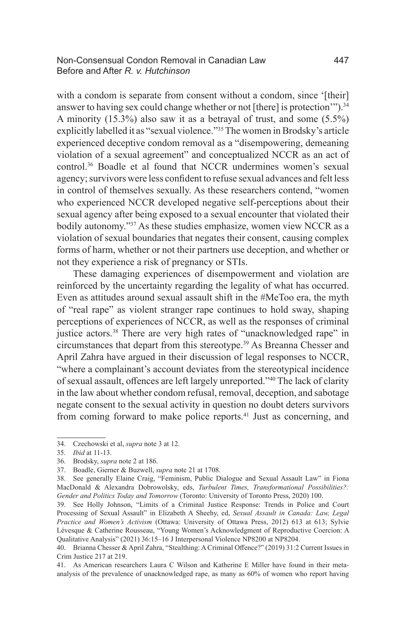with a condom is separate from consent without a condom, since '[their] answer to having sex could change whether or not [there] is protection'").<sup>34</sup> A minority (15.3%) also saw it as a betrayal of trust, and some (5.5%) explicitly labelled it as "sexual violence."35 The women in Brodsky's article experienced deceptive condom removal as a "disempowering, demeaning violation of a sexual agreement" and conceptualized NCCR as an act of control.36 Boadle et al found that NCCR undermines women's sexual agency; survivors were less confident to refuse sexual advances and felt less in control of themselves sexually. As these researchers contend, "women who experienced NCCR developed negative self-perceptions about their sexual agency after being exposed to a sexual encounter that violated their bodily autonomy."<sup>37</sup> As these studies emphasize, women view NCCR as a violation of sexual boundaries that negates their consent, causing complex forms of harm, whether or not their partners use deception, and whether or not they experience a risk of pregnancy or STIs.

These damaging experiences of disempowerment and violation are reinforced by the uncertainty regarding the legality of what has occurred. Even as attitudes around sexual assault shift in the #MeToo era, the myth of "real rape" as violent stranger rape continues to hold sway, shaping perceptions of experiences of NCCR, as well as the responses of criminal justice actors.<sup>38</sup> There are very high rates of "unacknowledged rape" in circumstances that depart from this stereotype.39 As Breanna Chesser and April Zahra have argued in their discussion of legal responses to NCCR, "where a complainant's account deviates from the stereotypical incidence of sexual assault, offences are left largely unreported."40 The lack of clarity in the law about whether condom refusal, removal, deception, and sabotage negate consent to the sexual activity in question no doubt deters survivors from coming forward to make police reports.<sup>41</sup> Just as concerning, and

<sup>34.</sup> Czechowski et al, *supra* note 3 at 12.

<sup>35.</sup> *Ibid* at 11-13.

<sup>36.</sup> Brodsky, *supra* note 2 at 186.

<sup>37.</sup> Boadle, Gierner & Buzwell, *supra* note 21 at 1708.

<sup>38.</sup> See generally Elaine Craig, "Feminism, Public Dialogue and Sexual Assault Law" in Fiona MacDonald & Alexandra Dobrowolsky, eds, *Turbulent Times, Transformational Possibilities?: Gender and Politics Today and Tomorrow* (Toronto: University of Toronto Press, 2020) 100.

<sup>39.</sup> See Holly Johnson, "Limits of a Criminal Justice Response: Trends in Police and Court Processing of Sexual Assault" in Elizabeth A Sheehy, ed, *Sexual Assault in Canada: Law, Legal Practice and Women's Activism* (Ottawa: University of Ottawa Press, 2012) 613 at 613; Sylvie Lévesque & Catherine Rousseau, "Young Women's Acknowledgment of Reproductive Coercion: A Qualitative Analysis" (2021) 36:15–16 J Interpersonal Violence NP8200 at NP8204.

<sup>40.</sup> Brianna Chesser & April Zahra, "Stealthing: A Criminal Offence?" (2019) 31:2 Current Issues in Crim Justice 217 at 219.

<sup>41.</sup> As American researchers Laura C Wilson and Katherine E Miller have found in their metaanalysis of the prevalence of unacknowledged rape, as many as 60% of women who report having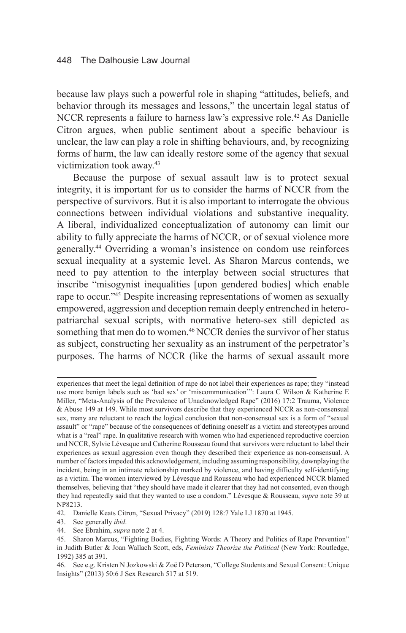because law plays such a powerful role in shaping "attitudes, beliefs, and behavior through its messages and lessons," the uncertain legal status of NCCR represents a failure to harness law's expressive role.<sup>42</sup> As Danielle Citron argues, when public sentiment about a specific behaviour is unclear, the law can play a role in shifting behaviours, and, by recognizing forms of harm, the law can ideally restore some of the agency that sexual victimization took away.43

Because the purpose of sexual assault law is to protect sexual integrity, it is important for us to consider the harms of NCCR from the perspective of survivors. But it is also important to interrogate the obvious connections between individual violations and substantive inequality. A liberal, individualized conceptualization of autonomy can limit our ability to fully appreciate the harms of NCCR, or of sexual violence more generally.44 Overriding a woman's insistence on condom use reinforces sexual inequality at a systemic level. As Sharon Marcus contends, we need to pay attention to the interplay between social structures that inscribe "misogynist inequalities [upon gendered bodies] which enable rape to occur."<sup>45</sup> Despite increasing representations of women as sexually empowered, aggression and deception remain deeply entrenched in heteropatriarchal sexual scripts, with normative hetero-sex still depicted as something that men do to women.<sup>46</sup> NCCR denies the survivor of her status as subject, constructing her sexuality as an instrument of the perpetrator's purposes. The harms of NCCR (like the harms of sexual assault more

experiences that meet the legal definition of rape do not label their experiences as rape; they "instead use more benign labels such as 'bad sex' or 'miscommunication'": Laura C Wilson & Katherine E Miller, "Meta-Analysis of the Prevalence of Unacknowledged Rape" (2016) 17:2 Trauma, Violence & Abuse 149 at 149. While most survivors describe that they experienced NCCR as non-consensual sex, many are reluctant to reach the logical conclusion that non-consensual sex is a form of "sexual assault" or "rape" because of the consequences of defining oneself as a victim and stereotypes around what is a "real" rape. In qualitative research with women who had experienced reproductive coercion and NCCR, Sylvie Lévesque and Catherine Rousseau found that survivors were reluctant to label their experiences as sexual aggression even though they described their experience as non-consensual. A number of factors impeded this acknowledgement, including assuming responsibility, downplaying the incident, being in an intimate relationship marked by violence, and having difficulty self-identifying as a victim. The women interviewed by Lévesque and Rousseau who had experienced NCCR blamed themselves, believing that "they should have made it clearer that they had not consented, even though they had repeatedly said that they wanted to use a condom." Lévesque & Rousseau, *supra* note 39 at NP8213.

<sup>42.</sup> Danielle Keats Citron, "Sexual Privacy" (2019) 128:7 Yale LJ 1870 at 1945.

<sup>43.</sup> See generally *ibid*.

<sup>44.</sup> See Ebrahim, *supra* note 2 at 4.

<sup>45.</sup> Sharon Marcus, "Fighting Bodies, Fighting Words: A Theory and Politics of Rape Prevention" in Judith Butler & Joan Wallach Scott, eds, *Feminists Theorize the Political* (New York: Routledge, 1992) 385 at 391.

<sup>46.</sup> See e.g. Kristen N Jozkowski & Zoë D Peterson, "College Students and Sexual Consent: Unique Insights" (2013) 50:6 J Sex Research 517 at 519.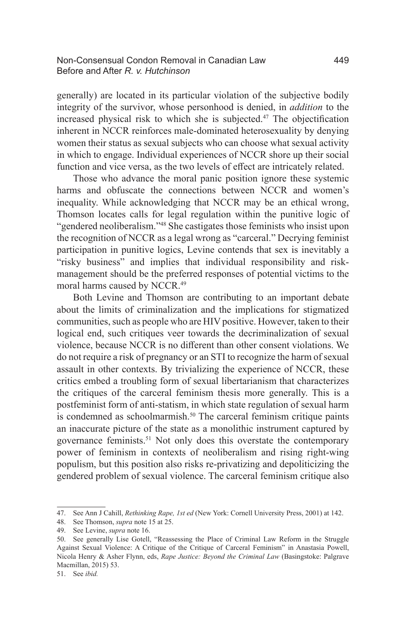#### Non-Consensual Condon Removal in Canadian Law 449 Before and After *R. v. Hutchinson*

generally) are located in its particular violation of the subjective bodily integrity of the survivor, whose personhood is denied, in *addition* to the increased physical risk to which she is subjected.<sup>47</sup> The objectification inherent in NCCR reinforces male-dominated heterosexuality by denying women their status as sexual subjects who can choose what sexual activity in which to engage. Individual experiences of NCCR shore up their social function and vice versa, as the two levels of effect are intricately related.

Those who advance the moral panic position ignore these systemic harms and obfuscate the connections between NCCR and women's inequality. While acknowledging that NCCR may be an ethical wrong, Thomson locates calls for legal regulation within the punitive logic of "gendered neoliberalism."48 She castigates those feminists who insist upon the recognition of NCCR as a legal wrong as "carceral." Decrying feminist participation in punitive logics, Levine contends that sex is inevitably a "risky business" and implies that individual responsibility and riskmanagement should be the preferred responses of potential victims to the moral harms caused by NCCR.49

Both Levine and Thomson are contributing to an important debate about the limits of criminalization and the implications for stigmatized communities, such as people who are HIV positive. However, taken to their logical end, such critiques veer towards the decriminalization of sexual violence, because NCCR is no different than other consent violations. We do not require a risk of pregnancy or an STI to recognize the harm of sexual assault in other contexts. By trivializing the experience of NCCR, these critics embed a troubling form of sexual libertarianism that characterizes the critiques of the carceral feminism thesis more generally. This is a postfeminist form of anti-statism, in which state regulation of sexual harm is condemned as schoolmarmish.<sup>50</sup> The carceral feminism critique paints an inaccurate picture of the state as a monolithic instrument captured by governance feminists.51 Not only does this overstate the contemporary power of feminism in contexts of neoliberalism and rising right-wing populism, but this position also risks re-privatizing and depoliticizing the gendered problem of sexual violence. The carceral feminism critique also

<sup>47.</sup> See Ann J Cahill, *Rethinking Rape, 1st ed* (New York: Cornell University Press, 2001) at 142.

<sup>48.</sup> See Thomson, *supra* note 15 at 25.

<sup>49.</sup> See Levine, *supra* note 16.

<sup>50.</sup> See generally Lise Gotell, "Reassessing the Place of Criminal Law Reform in the Struggle Against Sexual Violence: A Critique of the Critique of Carceral Feminism" in Anastasia Powell, Nicola Henry & Asher Flynn, eds, *Rape Justice: Beyond the Criminal Law* (Basingstoke: Palgrave Macmillan, 2015) 53.

<sup>51.</sup> See *ibid.*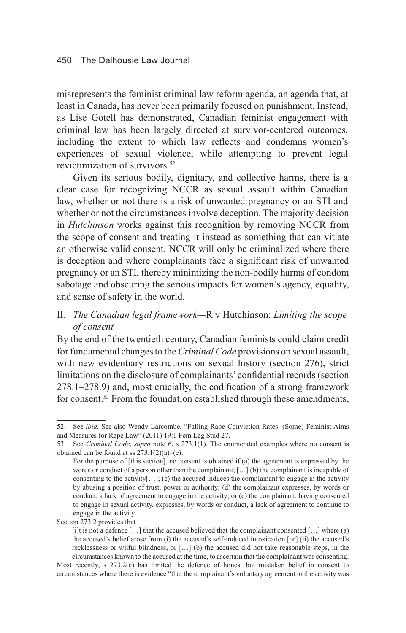misrepresents the feminist criminal law reform agenda, an agenda that, at least in Canada, has never been primarily focused on punishment. Instead, as Lise Gotell has demonstrated, Canadian feminist engagement with criminal law has been largely directed at survivor-centered outcomes, including the extent to which law reflects and condemns women's experiences of sexual violence, while attempting to prevent legal revictimization of survivors.<sup>52</sup>

Given its serious bodily, dignitary, and collective harms, there is a clear case for recognizing NCCR as sexual assault within Canadian law, whether or not there is a risk of unwanted pregnancy or an STI and whether or not the circumstances involve deception. The majority decision in *Hutchinson* works against this recognition by removing NCCR from the scope of consent and treating it instead as something that can vitiate an otherwise valid consent. NCCR will only be criminalized where there is deception and where complainants face a significant risk of unwanted pregnancy or an STI, thereby minimizing the non-bodily harms of condom sabotage and obscuring the serious impacts for women's agency, equality, and sense of safety in the world.

# II. *The Canadian legal framework—*R v Hutchinson: *Limiting the scope of consent*

By the end of the twentieth century, Canadian feminists could claim credit for fundamental changes to the *Criminal Code* provisions on sexual assault, with new evidentiary restrictions on sexual history (section 276), strict limitations on the disclosure of complainants' confidential records (section 278.1–278.9) and, most crucially, the codification of a strong framework for consent.<sup>53</sup> From the foundation established through these amendments,

<sup>52.</sup> See *ibid.* See also Wendy Larcombe, "Falling Rape Conviction Rates: (Some) Feminist Aims and Measures for Rape Law" (2011) 19:1 Fem Leg Stud 27.

<sup>53.</sup> See *Criminal Code*, *supra* note 6, s 273.1(1). The enumerated examples where no consent is obtained can be found at ss  $273.1(2)(a)$ –(e):

For the purpose of [this section], no consent is obtained if (a) the agreement is expressed by the words or conduct of a person other than the complainant; […] (b) the complainant is incapable of consenting to the activity[ $\dots$ ]; (c) the accused induces the complainant to engage in the activity by abusing a position of trust, power or authority; (d) the complainant expresses, by words or conduct, a lack of agreement to engage in the activity; or (e) the complainant, having consented to engage in sexual activity, expresses, by words or conduct, a lack of agreement to continue to engage in the activity.

Section 273.2 provides that

<sup>[</sup>i]t is not a defence […] that the accused believed that the complainant consented […] where (a) the accused's belief arose from (i) the accused's self-induced intoxication [or] (ii) the accused's recklessness or wilful blindness, or […] (b) the accused did not take reasonable steps, in the circumstances known to the accused at the time, to ascertain that the complainant was consenting.

Most recently, s 273.2(c) has limited the defence of honest but mistaken belief in consent to circumstances where there is evidence "that the complainant's voluntary agreement to the activity was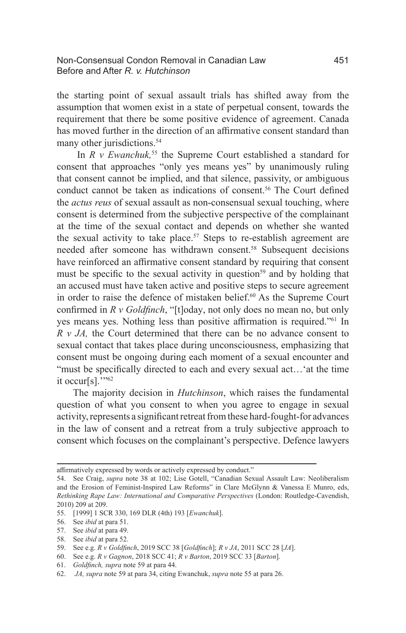the starting point of sexual assault trials has shifted away from the assumption that women exist in a state of perpetual consent, towards the requirement that there be some positive evidence of agreement. Canada has moved further in the direction of an affirmative consent standard than many other jurisdictions. 54

In *R v Ewanchuk*,<sup>55</sup> the Supreme Court established a standard for consent that approaches "only yes means yes" by unanimously ruling that consent cannot be implied, and that silence, passivity, or ambiguous conduct cannot be taken as indications of consent.<sup>56</sup> The Court defined the *actus reus* of sexual assault as non-consensual sexual touching, where consent is determined from the subjective perspective of the complainant at the time of the sexual contact and depends on whether she wanted the sexual activity to take place.<sup>57</sup> Steps to re-establish agreement are needed after someone has withdrawn consent.<sup>58</sup> Subsequent decisions have reinforced an affirmative consent standard by requiring that consent must be specific to the sexual activity in question<sup>59</sup> and by holding that an accused must have taken active and positive steps to secure agreement in order to raise the defence of mistaken belief.<sup>60</sup> As the Supreme Court confirmed in *R v Goldfinch*, "[t]oday, not only does no mean no, but only yes means yes. Nothing less than positive affirmation is required."<sup>61</sup> In *R v JA,* the Court determined that there can be no advance consent to sexual contact that takes place during unconsciousness, emphasizing that consent must be ongoing during each moment of a sexual encounter and "must be specifically directed to each and every sexual act...'at the time it occur[s]."<sup>62</sup>

The majority decision in *Hutchinson*, which raises the fundamental question of what you consent to when you agree to engage in sexual activity, represents a significant retreat from these hard-fought-for advances in the law of consent and a retreat from a truly subjective approach to consent which focuses on the complainant's perspective. Defence lawyers

61. *Goldfinch, supra* note 59 at para 44.

affirmatively expressed by words or actively expressed by conduct."

<sup>54.</sup> See Craig, *supra* note 38 at 102; Lise Gotell, "Canadian Sexual Assault Law: Neoliberalism and the Erosion of Feminist-Inspired Law Reforms" in Clare McGlynn & Vanessa E Munro, eds, *Rethinking Rape Law: International and Comparative Perspectives* (London: Routledge-Cavendish, 2010) 209 at 209.

<sup>55.</sup> [1999] 1 SCR 330, 169 DLR (4th) 193 [*Ewanchuk*].

<sup>56.</sup> See *ibid* at para 51.

<sup>57.</sup> See *ibid* at para 49.

<sup>58.</sup> See *ibid* at para 52.

<sup>59.</sup> See e.g. *R v Goldfinch*, 2019 SCC 38 [*Goldfinch*]; *R v JA*, 2011 SCC 28 [*JA*].

<sup>60.</sup> See e.g. *R v Gagnon*, 2018 SCC 41; *R v Barton*, 2019 SCC 33 [*Barton*].

<sup>62.</sup> *JA, supra* note 59 at para 34, citing Ewanchuk, *supra* note 55 at para 26.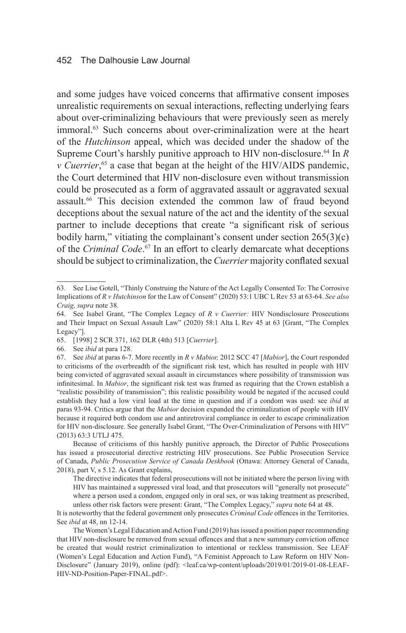#### 452 The Dalhousie Law Journal

and some judges have voiced concerns that affirmative consent imposes unrealistic requirements on sexual interactions, reflecting underlying fears about over-criminalizing behaviours that were previously seen as merely immoral.<sup>63</sup> Such concerns about over-criminalization were at the heart of the *Hutchinson* appeal, which was decided under the shadow of the Supreme Court's harshly punitive approach to HIV non-disclosure.<sup>64</sup> In *R v Cuerrier*, 65 a case that began at the height of the HIV/AIDS pandemic, the Court determined that HIV non-disclosure even without transmission could be prosecuted as a form of aggravated assault or aggravated sexual assault.<sup>66</sup> This decision extended the common law of fraud beyond deceptions about the sexual nature of the act and the identity of the sexual partner to include deceptions that create "a significant risk of serious bodily harm," vitiating the complainant's consent under section  $265(3)(c)$ of the *Criminal Code*. <sup>67</sup> In an effort to clearly demarcate what deceptions should be subject to criminalization, the *Cuerrier* majority conflated sexual

Because of criticisms of this harshly punitive approach, the Director of Public Prosecutions has issued a prosecutorial directive restricting HIV prosecutions. See Public Prosecution Service of Canada, *Public Prosecution Service of Canada Deskbook* (Ottawa: Attorney General of Canada, 2018), part V, s 5.12. As Grant explains,

The directive indicates that federal prosecutions will not be initiated where the person living with HIV has maintained a suppressed viral load, and that prosecutors will "generally not prosecute" where a person used a condom, engaged only in oral sex, or was taking treatment as prescribed, unless other risk factors were present: Grant, "The Complex Legacy," *supra* note 64 at 48.

It is noteworthy that the federal government only prosecutes *Criminal Code* offences in the Territories. See *ibid* at 48, nn 12-14.

The Women's Legal Education and Action Fund (2019) has issued a position paper recommending that HIV non-disclosure be removed from sexual offences and that a new summary conviction offence be created that would restrict criminalization to intentional or reckless transmission. See LEAF (Women's Legal Education and Action Fund), "A Feminist Approach to Law Reform on HIV Non-Disclosure" (January 2019), online (pdf): <leaf.ca/wp-content/uploads/2019/01/2019-01-08-LEAF-HIV-ND-Position-Paper-FINAL.pdf>.

<sup>63.</sup> See Lise Gotell, "Thinly Construing the Nature of the Act Legally Consented To: The Corrosive Implications of *R v Hutchinson* for the Law of Consent" (2020) 53:1 UBC L Rev 53 at 63-64. *See also Craig, supra* note 38.

<sup>64.</sup> See Isabel Grant, "The Complex Legacy of *R v Cuerrier:* HIV Nondisclosure Prosecutions and Their Impact on Sexual Assault Law" (2020) 58:1 Alta L Rev 45 at 63 [Grant, "The Complex Legacy"].

<sup>65.</sup> [1998] 2 SCR 371, 162 DLR (4th) 513 [*Cuerrier*].

<sup>66.</sup> See *ibid* at para 128.

<sup>67.</sup> See *ibid* at paras 6-7. More recently in *R v Mabior,* 2012 SCC 47 [*Mabior*], the Court responded to criticisms of the overbreadth of the significant risk test, which has resulted in people with HIV being convicted of aggravated sexual assault in circumstances where possibility of transmission was infinitesimal. In *Mabior*, the significant risk test was framed as requiring that the Crown establish a "realistic possibility of transmission"; this realistic possibility would be negated if the accused could establish they had a low viral load at the time in question and if a condom was used: see *ibid* at paras 93-94. Critics argue that the *Mabior* decision expanded the criminalization of people with HIV because it required both condom use and antiretroviral compliance in order to escape criminalization for HIV non-disclosure. See generally Isabel Grant, "The Over-Criminalization of Persons with HIV" (2013) 63:3 UTLJ 475.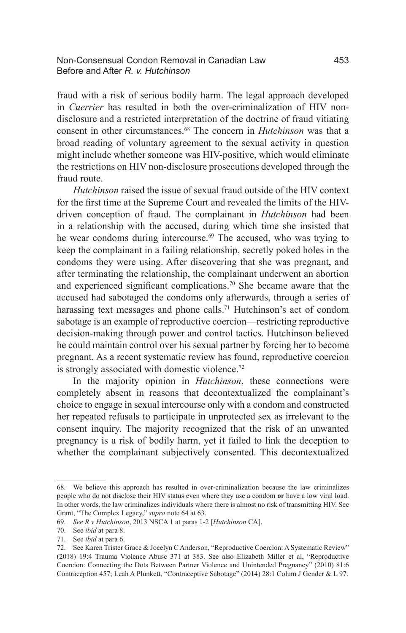#### Non-Consensual Condon Removal in Canadian Law 453 Before and After *R. v. Hutchinson*

fraud with a risk of serious bodily harm. The legal approach developed in *Cuerrier* has resulted in both the over-criminalization of HIV nondisclosure and a restricted interpretation of the doctrine of fraud vitiating consent in other circumstances.68 The concern in *Hutchinson* was that a broad reading of voluntary agreement to the sexual activity in question might include whether someone was HIV-positive, which would eliminate the restrictions on HIV non-disclosure prosecutions developed through the fraud route.

*Hutchinson* raised the issue of sexual fraud outside of the HIV context for the first time at the Supreme Court and revealed the limits of the HIVdriven conception of fraud. The complainant in *Hutchinson* had been in a relationship with the accused, during which time she insisted that he wear condoms during intercourse.<sup>69</sup> The accused, who was trying to keep the complainant in a failing relationship, secretly poked holes in the condoms they were using. After discovering that she was pregnant, and after terminating the relationship, the complainant underwent an abortion and experienced significant complications.70 She became aware that the accused had sabotaged the condoms only afterwards, through a series of harassing text messages and phone calls.<sup>71</sup> Hutchinson's act of condom sabotage is an example of reproductive coercion—restricting reproductive decision-making through power and control tactics. Hutchinson believed he could maintain control over his sexual partner by forcing her to become pregnant. As a recent systematic review has found, reproductive coercion is strongly associated with domestic violence.<sup>72</sup>

In the majority opinion in *Hutchinson*, these connections were completely absent in reasons that decontextualized the complainant's choice to engage in sexual intercourse only with a condom and constructed her repeated refusals to participate in unprotected sex as irrelevant to the consent inquiry. The majority recognized that the risk of an unwanted pregnancy is a risk of bodily harm, yet it failed to link the deception to whether the complainant subjectively consented. This decontextualized

<sup>68.</sup> We believe this approach has resulted in over-criminalization because the law criminalizes people who do not disclose their HIV status even where they use a condom **or** have a low viral load. In other words, the law criminalizes individuals where there is almost no risk of transmitting HIV. See Grant, "The Complex Legacy," *supra* note 64 at 63.

<sup>69.</sup> *See R v Hutchinson*, 2013 NSCA 1 at paras 1-2 [*Hutchinson* CA].

<sup>70.</sup> See *ibid* at para 8.

<sup>71.</sup> See *ibid* at para 6.

<sup>72.</sup> See Karen Trister Grace & Jocelyn C Anderson, "Reproductive Coercion: A Systematic Review" (2018) 19:4 Trauma Violence Abuse 371 at 383. See also Elizabeth Miller et al, "Reproductive Coercion: Connecting the Dots Between Partner Violence and Unintended Pregnancy" (2010) 81:6 Contraception 457; Leah A Plunkett, "Contraceptive Sabotage" (2014) 28:1 Colum J Gender & L 97.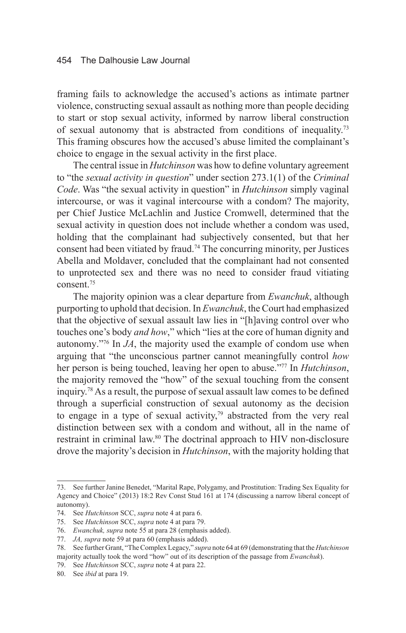framing fails to acknowledge the accused's actions as intimate partner violence, constructing sexual assault as nothing more than people deciding to start or stop sexual activity, informed by narrow liberal construction of sexual autonomy that is abstracted from conditions of inequality.73 This framing obscures how the accused's abuse limited the complainant's choice to engage in the sexual activity in the first place.

The central issue in *Hutchinson* was how to define voluntary agreement to "the *sexual activity in question*" under section 273.1(1) of the *Criminal Code*. Was "the sexual activity in question" in *Hutchinson* simply vaginal intercourse, or was it vaginal intercourse with a condom? The majority, per Chief Justice McLachlin and Justice Cromwell, determined that the sexual activity in question does not include whether a condom was used, holding that the complainant had subjectively consented, but that her consent had been vitiated by fraud.74 The concurring minority, per Justices Abella and Moldaver, concluded that the complainant had not consented to unprotected sex and there was no need to consider fraud vitiating consent.75

The majority opinion was a clear departure from *Ewanchuk*, although purporting to uphold that decision. In *Ewanchuk*, the Court had emphasized that the objective of sexual assault law lies in "[h]aving control over who touches one's body *and how*," which "lies at the core of human dignity and autonomy."76 In *JA*, the majority used the example of condom use when arguing that "the unconscious partner cannot meaningfully control *how* her person is being touched, leaving her open to abuse."77 In *Hutchinson*, the majority removed the "how" of the sexual touching from the consent inquiry.78 As a result, the purpose of sexual assault law comes to be defined through a superficial construction of sexual autonomy as the decision to engage in a type of sexual activity,<sup>79</sup> abstracted from the very real distinction between sex with a condom and without, all in the name of restraint in criminal law.80 The doctrinal approach to HIV non-disclosure drove the majority's decision in *Hutchinson*, with the majority holding that

<sup>73.</sup> See further Janine Benedet, "Marital Rape, Polygamy, and Prostitution: Trading Sex Equality for Agency and Choice" (2013) 18:2 Rev Const Stud 161 at 174 (discussing a narrow liberal concept of autonomy).

<sup>74.</sup> See *Hutchinson* SCC, *supra* note 4 at para 6.

<sup>75.</sup> See *Hutchinson* SCC, *supra* note 4 at para 79.

<sup>76.</sup> *Ewanchuk, supra* note 55 at para 28 (emphasis added).

<sup>77.</sup> *JA, supra* note 59 at para 60 (emphasis added).

<sup>78.</sup> See further Grant, "The Complex Legacy," *supra* note 64 at 69 (demonstrating that the *Hutchinson* majority actually took the word "how" out of its description of the passage from *Ewanchuk*).

<sup>79.</sup> See *Hutchinson* SCC, *supra* note 4 at para 22.

<sup>80.</sup> See *ibid* at para 19.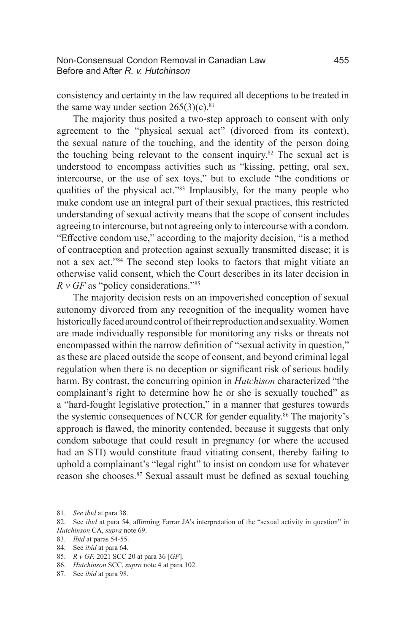consistency and certainty in the law required all deceptions to be treated in the same way under section  $265(3)(c).$ <sup>81</sup>

The majority thus posited a two-step approach to consent with only agreement to the "physical sexual act" (divorced from its context), the sexual nature of the touching, and the identity of the person doing the touching being relevant to the consent inquiry.<sup>82</sup> The sexual act is understood to encompass activities such as "kissing, petting, oral sex, intercourse, or the use of sex toys," but to exclude "the conditions or qualities of the physical act."<sup>83</sup> Implausibly, for the many people who make condom use an integral part of their sexual practices, this restricted understanding of sexual activity means that the scope of consent includes agreeing to intercourse, but not agreeing only to intercourse with a condom. "Effective condom use," according to the majority decision, "is a method of contraception and protection against sexually transmitted disease; it is not a sex act."84 The second step looks to factors that might vitiate an otherwise valid consent, which the Court describes in its later decision in *R v GF* as "policy considerations."85

The majority decision rests on an impoverished conception of sexual autonomy divorced from any recognition of the inequality women have historically faced around control of their reproduction and sexuality. Women are made individually responsible for monitoring any risks or threats not encompassed within the narrow definition of "sexual activity in question," as these are placed outside the scope of consent, and beyond criminal legal regulation when there is no deception or significant risk of serious bodily harm. By contrast, the concurring opinion in *Hutchison* characterized "the complainant's right to determine how he or she is sexually touched" as a "hard-fought legislative protection," in a manner that gestures towards the systemic consequences of NCCR for gender equality.86 The majority's approach is flawed, the minority contended, because it suggests that only condom sabotage that could result in pregnancy (or where the accused had an STI) would constitute fraud vitiating consent, thereby failing to uphold a complainant's "legal right" to insist on condom use for whatever reason she chooses.87 Sexual assault must be defined as sexual touching

<sup>81.</sup> *See ibid* at para 38.

<sup>82.</sup> See *ibid* at para 54, affirming Farrar JA's interpretation of the "sexual activity in question" in *Hutchinson* CA, *supra* note 69.

<sup>83.</sup> *Ibid* at paras 54-55.

<sup>84.</sup> See *ibid* at para 64.

<sup>85.</sup> *R v GF,* 2021 SCC 20 at para 36 [*GF*].

<sup>86.</sup> *Hutchinson* SCC, *supra* note 4 at para 102.

<sup>87.</sup> See *ibid* at para 98.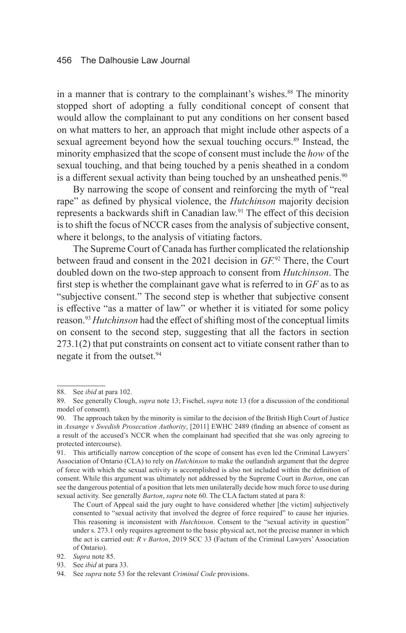#### 456 The Dalhousie Law Journal

in a manner that is contrary to the complainant's wishes.<sup>88</sup> The minority stopped short of adopting a fully conditional concept of consent that would allow the complainant to put any conditions on her consent based on what matters to her, an approach that might include other aspects of a sexual agreement beyond how the sexual touching occurs.<sup>89</sup> Instead, the minority emphasized that the scope of consent must include the *how* of the sexual touching, and that being touched by a penis sheathed in a condom is a different sexual activity than being touched by an unsheathed penis.<sup>90</sup>

By narrowing the scope of consent and reinforcing the myth of "real rape" as defined by physical violence, the *Hutchinson* majority decision represents a backwards shift in Canadian law.<sup>91</sup> The effect of this decision is to shift the focus of NCCR cases from the analysis of subjective consent, where it belongs, to the analysis of vitiating factors.

The Supreme Court of Canada has further complicated the relationship between fraud and consent in the 2021 decision in *GF.*92 There, the Court doubled down on the two-step approach to consent from *Hutchinson*. The first step is whether the complainant gave what is referred to in *GF* as to as "subjective consent." The second step is whether that subjective consent is effective "as a matter of law" or whether it is vitiated for some policy reason.93*Hutchinson* had the effect of shifting most of the conceptual limits on consent to the second step, suggesting that all the factors in section 273.1(2) that put constraints on consent act to vitiate consent rather than to negate it from the outset.<sup>94</sup>

<sup>88.</sup> See *ibid* at para 102.

<sup>89.</sup> See generally Clough, *supra* note 13; Fischel, *supra* note 13 (for a discussion of the conditional model of consent).

<sup>90.</sup> The approach taken by the minority is similar to the decision of the British High Court of Justice in *Assange v Swedish Prosecution Authority*, [2011] EWHC 2489 (finding an absence of consent as a result of the accused's NCCR when the complainant had specified that she was only agreeing to protected intercourse).

<sup>91.</sup> This artificially narrow conception of the scope of consent has even led the Criminal Lawyers' Association of Ontario (CLA) to rely on *Hutchinson* to make the outlandish argument that the degree of force with which the sexual activity is accomplished is also not included within the definition of consent. While this argument was ultimately not addressed by the Supreme Court in *Barton*, one can see the dangerous potential of a position that lets men unilaterally decide how much force to use during sexual activity. See generally *Barton*, *supra* note 60. The CLA factum stated at para 8:

The Court of Appeal said the jury ought to have considered whether [the victim] subjectively consented to "sexual activity that involved the degree of force required" to cause her injuries. This reasoning is inconsistent with *Hutchinson*. Consent to the "sexual activity in question" under s. 273.1 only requires agreement to the basic physical act, not the precise manner in which the act is carried out: *R v Barton*, 2019 SCC 33 (Factum of the Criminal Lawyers' Association of Ontario).

<sup>92.</sup> *Supra* note 85.

<sup>93.</sup> See *ibid* at para 33.

<sup>94.</sup> See *supra* note 53 for the relevant *Criminal Code* provisions.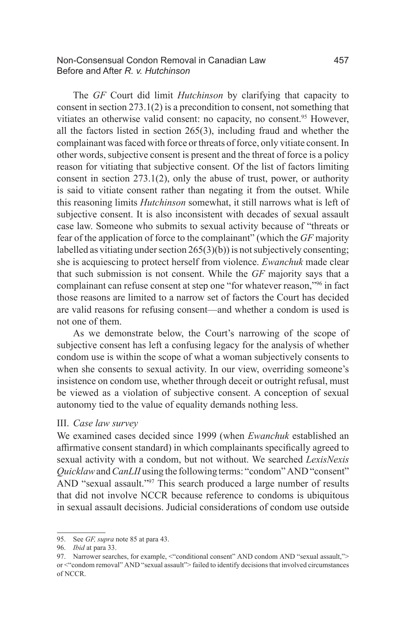#### Non-Consensual Condon Removal in Canadian Law 457 Before and After *R. v. Hutchinson*

The *GF* Court did limit *Hutchinson* by clarifying that capacity to consent in section 273.1(2) is a precondition to consent, not something that vitiates an otherwise valid consent: no capacity, no consent.<sup>95</sup> However, all the factors listed in section 265(3), including fraud and whether the complainant was faced with force or threats of force, only vitiate consent. In other words, subjective consent is present and the threat of force is a policy reason for vitiating that subjective consent. Of the list of factors limiting consent in section 273.1(2), only the abuse of trust, power, or authority is said to vitiate consent rather than negating it from the outset. While this reasoning limits *Hutchinson* somewhat, it still narrows what is left of subjective consent. It is also inconsistent with decades of sexual assault case law. Someone who submits to sexual activity because of "threats or fear of the application of force to the complainant" (which the *GF* majority labelled as vitiating under section 265(3)(b)) is not subjectively consenting; she is acquiescing to protect herself from violence. *Ewanchuk* made clear that such submission is not consent. While the *GF* majority says that a complainant can refuse consent at step one "for whatever reason,"96 in fact those reasons are limited to a narrow set of factors the Court has decided are valid reasons for refusing consent—and whether a condom is used is not one of them.

As we demonstrate below, the Court's narrowing of the scope of subjective consent has left a confusing legacy for the analysis of whether condom use is within the scope of what a woman subjectively consents to when she consents to sexual activity. In our view, overriding someone's insistence on condom use, whether through deceit or outright refusal, must be viewed as a violation of subjective consent. A conception of sexual autonomy tied to the value of equality demands nothing less.

#### III. *Case law survey*

We examined cases decided since 1999 (when *Ewanchuk* established an affirmative consent standard) in which complainants specifically agreed to sexual activity with a condom, but not without. We searched *LexisNexis Quicklaw* and *CanLII* using the following terms: "condom" AND "consent" AND "sexual assault."<sup>97</sup> This search produced a large number of results that did not involve NCCR because reference to condoms is ubiquitous in sexual assault decisions. Judicial considerations of condom use outside

<sup>95.</sup> See *GF, supra* note 85 at para 43.

<sup>96.</sup> *Ibid* at para 33.

<sup>97.</sup> Narrower searches, for example, <"conditional consent" AND condom AND "sexual assault,"> or <"condom removal" AND "sexual assault"> failed to identify decisions that involved circumstances of NCCR.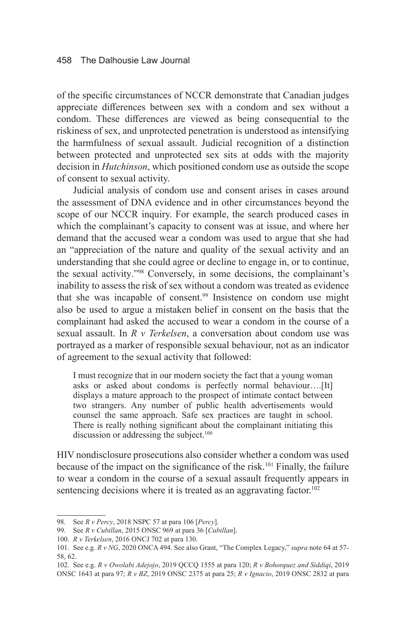of the specific circumstances of NCCR demonstrate that Canadian judges appreciate differences between sex with a condom and sex without a condom. These differences are viewed as being consequential to the riskiness of sex, and unprotected penetration is understood as intensifying the harmfulness of sexual assault. Judicial recognition of a distinction between protected and unprotected sex sits at odds with the majority decision in *Hutchinson*, which positioned condom use as outside the scope of consent to sexual activity.

Judicial analysis of condom use and consent arises in cases around the assessment of DNA evidence and in other circumstances beyond the scope of our NCCR inquiry. For example, the search produced cases in which the complainant's capacity to consent was at issue, and where her demand that the accused wear a condom was used to argue that she had an "appreciation of the nature and quality of the sexual activity and an understanding that she could agree or decline to engage in, or to continue, the sexual activity."98 Conversely, in some decisions, the complainant's inability to assess the risk of sex without a condom was treated as evidence that she was incapable of consent.99 Insistence on condom use might also be used to argue a mistaken belief in consent on the basis that the complainant had asked the accused to wear a condom in the course of a sexual assault. In *R v Terkelsen*, a conversation about condom use was portrayed as a marker of responsible sexual behaviour, not as an indicator of agreement to the sexual activity that followed:

I must recognize that in our modern society the fact that a young woman asks or asked about condoms is perfectly normal behaviour….[It] displays a mature approach to the prospect of intimate contact between two strangers. Any number of public health advertisements would counsel the same approach. Safe sex practices are taught in school. There is really nothing significant about the complainant initiating this discussion or addressing the subject.<sup>100</sup>

HIV nondisclosure prosecutions also consider whether a condom was used because of the impact on the significance of the risk.<sup>101</sup> Finally, the failure to wear a condom in the course of a sexual assault frequently appears in sentencing decisions where it is treated as an aggravating factor.<sup>102</sup>

<sup>98.</sup> See *R v Percy*, 2018 NSPC 57 at para 106 [*Percy*].

<sup>99.</sup> See *R v Cubillan*, 2015 ONSC 969 at para 36 [*Cubillan*].

<sup>100.</sup> *R v Terkelsen*, 2016 ONCJ 702 at para 130.

<sup>101.</sup> See e.g. *R v NG*, 2020 ONCA 494. See also Grant, "The Complex Legacy," *supra* note 64 at 57- 58, 62.

<sup>102.</sup> See e.g. *R v Owolabi Adejojo*, 2019 QCCQ 1555 at para 120; *R v Bohorquez and Siddiqi*, 2019 ONSC 1643 at para 97; *R v BZ*, 2019 ONSC 2375 at para 25; *R v Ignacio*, 2019 ONSC 2832 at para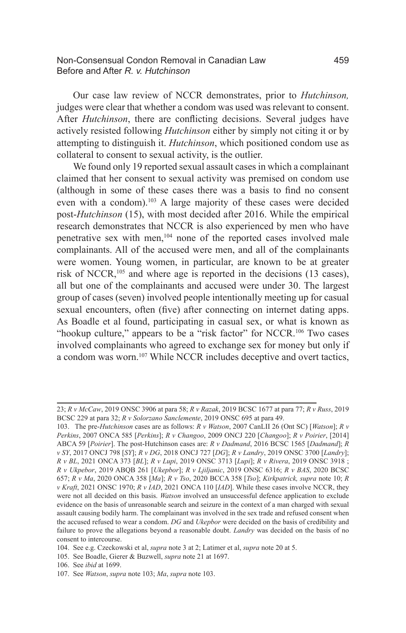#### Non-Consensual Condon Removal in Canadian Law 459 Before and After *R. v. Hutchinson*

Our case law review of NCCR demonstrates, prior to *Hutchinson,*  judges were clear that whether a condom was used was relevant to consent. After *Hutchinson*, there are conflicting decisions. Several judges have actively resisted following *Hutchinson* either by simply not citing it or by attempting to distinguish it. *Hutchinson*, which positioned condom use as collateral to consent to sexual activity, is the outlier.

We found only 19 reported sexual assault cases in which a complainant claimed that her consent to sexual activity was premised on condom use (although in some of these cases there was a basis to find no consent even with a condom).<sup>103</sup> A large majority of these cases were decided post-*Hutchinson* (15), with most decided after 2016. While the empirical research demonstrates that NCCR is also experienced by men who have penetrative sex with men,<sup>104</sup> none of the reported cases involved male complainants. All of the accused were men, and all of the complainants were women. Young women, in particular, are known to be at greater risk of NCCR,<sup>105</sup> and where age is reported in the decisions (13 cases), all but one of the complainants and accused were under 30. The largest group of cases (seven) involved people intentionally meeting up for casual sexual encounters, often (five) after connecting on internet dating apps. As Boadle et al found, participating in casual sex, or what is known as "hookup culture," appears to be a "risk factor" for NCCR.<sup>106</sup> Two cases involved complainants who agreed to exchange sex for money but only if a condom was worn.<sup>107</sup> While NCCR includes deceptive and overt tactics,

<sup>23;</sup> *R v McCaw*, 2019 ONSC 3906 at para 58; *R v Razak*, 2019 BCSC 1677 at para 77; *R v Russ*, 2019 BCSC 229 at para 32; *R v Solorzano Sanclemente*, 2019 ONSC 695 at para 49.

<sup>103.</sup> The pre-*Hutchinson* cases are as follows: *R v Watson*, 2007 CanLII 26 (Ont SC) [*Watson*]; *R v Perkins*, 2007 ONCA 585 [*Perkins*]; *R v Changoo*, 2009 ONCJ 220 [*Changoo*]; *R v Poirier*, [2014] ABCA 59 [*Poirier*]. The post-Hutchinson cases are: *R v Dadmand*, 2016 BCSC 1565 [*Dadmand*]; *R v SY*, 2017 ONCJ 798 [*SY*]; *R v DG*, 2018 ONCJ 727 [*DG*]; *R v Landry*, 2019 ONSC 3700 [*Landry*]; *R v BL*, 2021 ONCA 373 [*BL*]; *R v Lupi*, 2019 ONSC 3713 [*Lupi*]; *R v Rivera*, 2019 ONSC 3918 ; *R v Ukpebor*, 2019 ABQB 261 [*Ukepbor*]; *R v Ljiljanic*, 2019 ONSC 6316; *R v BAS*, 2020 BCSC 657; *R v Ma*, 2020 ONCA 358 [*Ma*]; *R v Tso*, 2020 BCCA 358 [*Tso*]; *Kirkpatrick, supra* note 10; *R v Kraft*, 2021 ONSC 1970; *R v IAD*, 2021 ONCA 110 [*IAD*]. While these cases involve NCCR, they were not all decided on this basis. *Watson* involved an unsuccessful defence application to exclude evidence on the basis of unreasonable search and seizure in the context of a man charged with sexual assault causing bodily harm. The complainant was involved in the sex trade and refused consent when the accused refused to wear a condom. *DG* and *Ukepbor* were decided on the basis of credibility and failure to prove the allegations beyond a reasonable doubt. *Landry* was decided on the basis of no consent to intercourse.

<sup>104.</sup> See e.g. Czeckowski et al, *supra* note 3 at 2; Latimer et al, *supra* note 20 at 5.

<sup>105.</sup> See Boadle, Gierer & Buzwell, *supra* note 21 at 1697.

<sup>106.</sup> See *ibid* at 1699.

<sup>107.</sup> See *Watson*, *supra* note 103; *Ma*, *supra* note 103.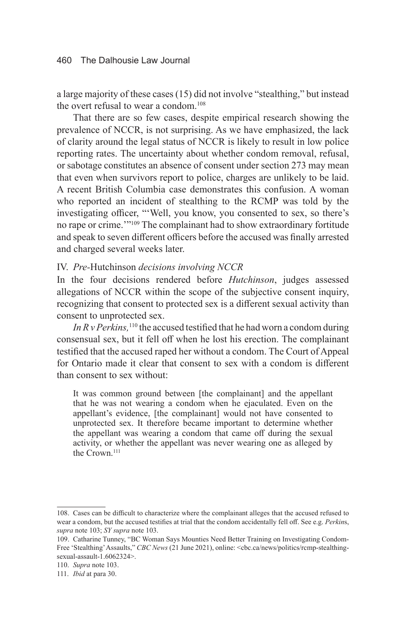a large majority of these cases (15) did not involve "stealthing," but instead the overt refusal to wear a condom.<sup>108</sup>

That there are so few cases, despite empirical research showing the prevalence of NCCR, is not surprising. As we have emphasized, the lack of clarity around the legal status of NCCR is likely to result in low police reporting rates. The uncertainty about whether condom removal, refusal, or sabotage constitutes an absence of consent under section 273 may mean that even when survivors report to police, charges are unlikely to be laid. A recent British Columbia case demonstrates this confusion. A woman who reported an incident of stealthing to the RCMP was told by the investigating officer, "'Well, you know, you consented to sex, so there's no rape or crime.'"109 The complainant had to show extraordinary fortitude and speak to seven different officers before the accused was finally arrested and charged several weeks later.

#### IV. *Pre-*Hutchinson *decisions involving NCCR*

In the four decisions rendered before *Hutchinson*, judges assessed allegations of NCCR within the scope of the subjective consent inquiry, recognizing that consent to protected sex is a different sexual activity than consent to unprotected sex.

In R v Perkins,<sup>110</sup> the accused testified that he had worn a condom during consensual sex, but it fell off when he lost his erection. The complainant testified that the accused raped her without a condom. The Court of Appeal for Ontario made it clear that consent to sex with a condom is different than consent to sex without:

It was common ground between [the complainant] and the appellant that he was not wearing a condom when he ejaculated. Even on the appellant's evidence, [the complainant] would not have consented to unprotected sex. It therefore became important to determine whether the appellant was wearing a condom that came off during the sexual activity, or whether the appellant was never wearing one as alleged by the Crown.111

<sup>108.</sup> Cases can be difficult to characterize where the complainant alleges that the accused refused to wear a condom, but the accused testifies at trial that the condom accidentally fell off. See e.g. *Perkin*s, *supra* note 103; *SY supra* note 103.

<sup>109.</sup> Catharine Tunney, "BC Woman Says Mounties Need Better Training on Investigating Condom-Free 'Stealthing' Assaults," *CBC News* (21 June 2021), online: <cbc.ca/news/politics/rcmp-stealthingsexual-assault-1.6062324>.

<sup>110.</sup> *Supra* note 103.

<sup>111.</sup> *Ibid* at para 30.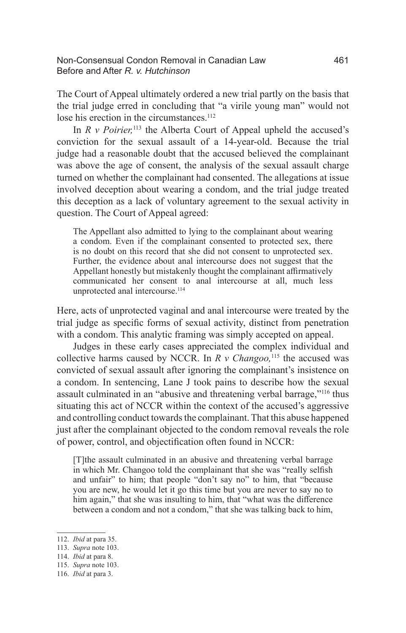#### Non-Consensual Condon Removal in Canadian Law 461 Before and After *R. v. Hutchinson*

The Court of Appeal ultimately ordered a new trial partly on the basis that the trial judge erred in concluding that "a virile young man" would not lose his erection in the circumstances.<sup>112</sup>

In  $R \, v$  *Poirier*,<sup>113</sup> the Alberta Court of Appeal upheld the accused's conviction for the sexual assault of a 14-year-old. Because the trial judge had a reasonable doubt that the accused believed the complainant was above the age of consent, the analysis of the sexual assault charge turned on whether the complainant had consented. The allegations at issue involved deception about wearing a condom, and the trial judge treated this deception as a lack of voluntary agreement to the sexual activity in question. The Court of Appeal agreed:

The Appellant also admitted to lying to the complainant about wearing a condom. Even if the complainant consented to protected sex, there is no doubt on this record that she did not consent to unprotected sex. Further, the evidence about anal intercourse does not suggest that the Appellant honestly but mistakenly thought the complainant affirmatively communicated her consent to anal intercourse at all, much less unprotected anal intercourse.<sup>114</sup>

Here, acts of unprotected vaginal and anal intercourse were treated by the trial judge as specific forms of sexual activity, distinct from penetration with a condom. This analytic framing was simply accepted on appeal.

Judges in these early cases appreciated the complex individual and collective harms caused by NCCR. In *R v Changoo,*<sup>115</sup> the accused was convicted of sexual assault after ignoring the complainant's insistence on a condom. In sentencing, Lane J took pains to describe how the sexual assault culminated in an "abusive and threatening verbal barrage,"116 thus situating this act of NCCR within the context of the accused's aggressive and controlling conduct towards the complainant. That this abuse happened just after the complainant objected to the condom removal reveals the role of power, control, and objectification often found in NCCR:

[T]the assault culminated in an abusive and threatening verbal barrage in which Mr. Changoo told the complainant that she was "really selfish and unfair" to him; that people "don't say no" to him, that "because you are new, he would let it go this time but you are never to say no to him again," that she was insulting to him, that "what was the difference" between a condom and not a condom," that she was talking back to him,

<sup>112.</sup> *Ibid* at para 35.

<sup>113.</sup> *Supra* note 103.

<sup>114.</sup> *Ibid* at para 8.

<sup>115.</sup> *Supra* note 103.

<sup>116.</sup> *Ibid* at para 3.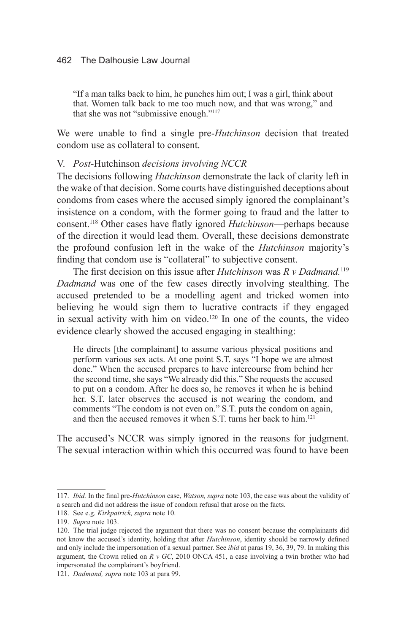"If a man talks back to him, he punches him out; I was a girl, think about that. Women talk back to me too much now, and that was wrong," and that she was not "submissive enough."<sup>117</sup>

We were unable to find a single pre-*Hutchinson* decision that treated condom use as collateral to consent.

### V. *Post-*Hutchinson *decisions involving NCCR*

The decisions following *Hutchinson* demonstrate the lack of clarity left in the wake of that decision. Some courts have distinguished deceptions about condoms from cases where the accused simply ignored the complainant's insistence on a condom, with the former going to fraud and the latter to consent.118 Other cases have flatly ignored *Hutchinson*—perhaps because of the direction it would lead them. Overall, these decisions demonstrate the profound confusion left in the wake of the *Hutchinson* majority's finding that condom use is "collateral" to subjective consent.

The first decision on this issue after *Hutchinson* was *R v Dadmand.*<sup>119</sup> *Dadmand* was one of the few cases directly involving stealthing. The accused pretended to be a modelling agent and tricked women into believing he would sign them to lucrative contracts if they engaged in sexual activity with him on video.<sup>120</sup> In one of the counts, the video evidence clearly showed the accused engaging in stealthing:

He directs [the complainant] to assume various physical positions and perform various sex acts. At one point S.T. says "I hope we are almost done." When the accused prepares to have intercourse from behind her the second time, she says "We already did this." She requests the accused to put on a condom. After he does so, he removes it when he is behind her. S.T. later observes the accused is not wearing the condom, and comments "The condom is not even on." S.T. puts the condom on again, and then the accused removes it when S.T. turns her back to him.<sup>121</sup>

The accused's NCCR was simply ignored in the reasons for judgment. The sexual interaction within which this occurred was found to have been

<sup>117.</sup> *Ibid.* In the final pre-*Hutchinson* case, *Watson, supra* note 103, the case was about the validity of a search and did not address the issue of condom refusal that arose on the facts.

<sup>118.</sup> See e.g. *Kirkpatrick, supra* note 10.

<sup>119.</sup> *Supra* note 103.

<sup>120.</sup> The trial judge rejected the argument that there was no consent because the complainants did not know the accused's identity, holding that after *Hutchinson*, identity should be narrowly defined and only include the impersonation of a sexual partner. See *ibid* at paras 19, 36, 39, 79. In making this argument, the Crown relied on *R v GC*, 2010 ONCA 451, a case involving a twin brother who had impersonated the complainant's boyfriend.

<sup>121.</sup> *Dadmand, supra* note 103 at para 99.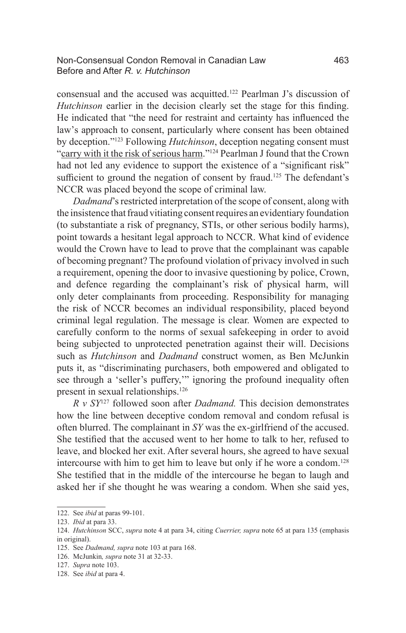#### Non-Consensual Condon Removal in Canadian Law 463 Before and After *R. v. Hutchinson*

consensual and the accused was acquitted.122 Pearlman J's discussion of *Hutchinson* earlier in the decision clearly set the stage for this finding. He indicated that "the need for restraint and certainty has influenced the law's approach to consent, particularly where consent has been obtained by deception."123 Following *Hutchinson*, deception negating consent must "carry with it the risk of serious harm."<sup>124</sup> Pearlman J found that the Crown had not led any evidence to support the existence of a "significant risk" sufficient to ground the negation of consent by fraud.<sup>125</sup> The defendant's NCCR was placed beyond the scope of criminal law.

*Dadmand*'s restricted interpretation of the scope of consent, along with the insistence that fraud vitiating consent requires an evidentiary foundation (to substantiate a risk of pregnancy, STIs, or other serious bodily harms), point towards a hesitant legal approach to NCCR. What kind of evidence would the Crown have to lead to prove that the complainant was capable of becoming pregnant? The profound violation of privacy involved in such a requirement, opening the door to invasive questioning by police, Crown, and defence regarding the complainant's risk of physical harm, will only deter complainants from proceeding. Responsibility for managing the risk of NCCR becomes an individual responsibility, placed beyond criminal legal regulation. The message is clear. Women are expected to carefully conform to the norms of sexual safekeeping in order to avoid being subjected to unprotected penetration against their will. Decisions such as *Hutchinson* and *Dadmand* construct women, as Ben McJunkin puts it, as "discriminating purchasers, both empowered and obligated to see through a 'seller's puffery,'" ignoring the profound inequality often present in sexual relationships.<sup>126</sup>

*R v SY*127 followed soon after *Dadmand.* This decision demonstrates how the line between deceptive condom removal and condom refusal is often blurred. The complainant in *SY* was the ex-girlfriend of the accused. She testified that the accused went to her home to talk to her, refused to leave, and blocked her exit. After several hours, she agreed to have sexual intercourse with him to get him to leave but only if he wore a condom.128 She testified that in the middle of the intercourse he began to laugh and asked her if she thought he was wearing a condom. When she said yes,

<sup>122.</sup> See *ibid* at paras 99-101.

<sup>123.</sup> *Ibid* at para 33.

<sup>124.</sup> *Hutchinson* SCC, *supra* note 4 at para 34, citing *Cuerrier, supra* note 65 at para 135 (emphasis in original).

<sup>125.</sup> See *Dadmand, supra* note 103 at para 168.

<sup>126.</sup> McJunkin*, supra* note 31 at 32-33.

<sup>127.</sup> *Supra* note 103.

<sup>128.</sup> See *ibid* at para 4.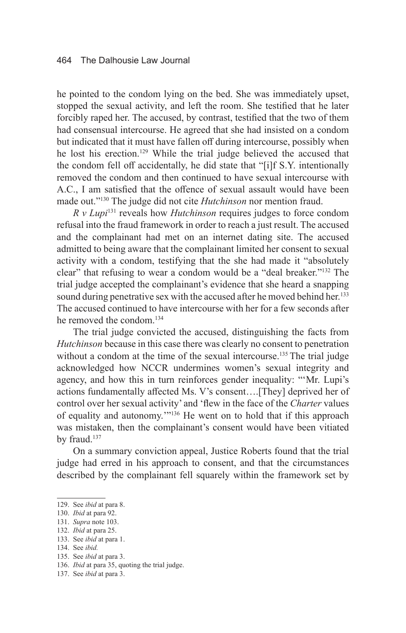he pointed to the condom lying on the bed. She was immediately upset, stopped the sexual activity, and left the room. She testified that he later forcibly raped her. The accused, by contrast, testified that the two of them had consensual intercourse. He agreed that she had insisted on a condom but indicated that it must have fallen off during intercourse, possibly when he lost his erection.129 While the trial judge believed the accused that the condom fell off accidentally, he did state that "[i]f S.Y. intentionally removed the condom and then continued to have sexual intercourse with A.C., I am satisfied that the offence of sexual assault would have been made out."130 The judge did not cite *Hutchinson* nor mention fraud.

*R v Lupi*131 reveals how *Hutchinson* requires judges to force condom refusal into the fraud framework in order to reach a just result. The accused and the complainant had met on an internet dating site. The accused admitted to being aware that the complainant limited her consent to sexual activity with a condom, testifying that the she had made it "absolutely clear" that refusing to wear a condom would be a "deal breaker."132 The trial judge accepted the complainant's evidence that she heard a snapping sound during penetrative sex with the accused after he moved behind her.<sup>133</sup> The accused continued to have intercourse with her for a few seconds after he removed the condom.134

The trial judge convicted the accused, distinguishing the facts from *Hutchinson* because in this case there was clearly no consent to penetration without a condom at the time of the sexual intercourse.<sup>135</sup> The trial judge acknowledged how NCCR undermines women's sexual integrity and agency, and how this in turn reinforces gender inequality: "'Mr. Lupi's actions fundamentally affected Ms. V's consent….[They] deprived her of control over her sexual activity' and 'flew in the face of the *Charter* values of equality and autonomy.'"136 He went on to hold that if this approach was mistaken, then the complainant's consent would have been vitiated by fraud.<sup>137</sup>

On a summary conviction appeal, Justice Roberts found that the trial judge had erred in his approach to consent, and that the circumstances described by the complainant fell squarely within the framework set by

- 135. See *ibid* at para 3.
- 136. *Ibid* at para 35, quoting the trial judge.

<sup>129.</sup> See *ibid* at para 8.

<sup>130.</sup> *Ibid* at para 92.

<sup>131.</sup> *Supra* note 103.

<sup>132.</sup> *Ibid* at para 25.

<sup>133.</sup> See *ibid* at para 1.

<sup>134.</sup> See *ibid.*

<sup>137.</sup> See *ibid* at para 3.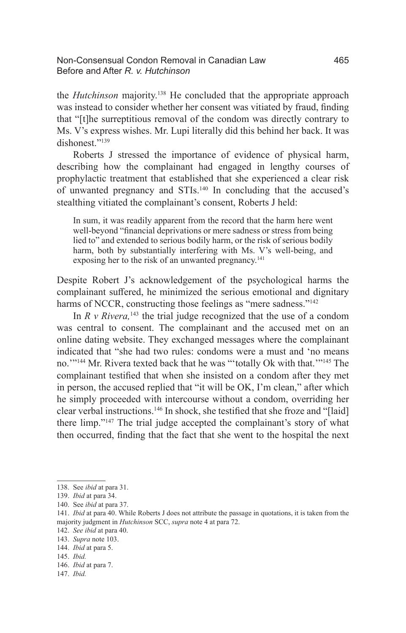#### Non-Consensual Condon Removal in Canadian Law 465 Before and After *R. v. Hutchinson*

the *Hutchinson* majority.138 He concluded that the appropriate approach was instead to consider whether her consent was vitiated by fraud, finding that "[t]he surreptitious removal of the condom was directly contrary to Ms. V's express wishes. Mr. Lupi literally did this behind her back. It was dishonest."<sup>139</sup>

Roberts J stressed the importance of evidence of physical harm, describing how the complainant had engaged in lengthy courses of prophylactic treatment that established that she experienced a clear risk of unwanted pregnancy and STIs.140 In concluding that the accused's stealthing vitiated the complainant's consent, Roberts J held:

In sum, it was readily apparent from the record that the harm here went well-beyond "financial deprivations or mere sadness or stress from being lied to" and extended to serious bodily harm, or the risk of serious bodily harm, both by substantially interfering with Ms. V's well-being, and exposing her to the risk of an unwanted pregnancy.<sup>141</sup>

Despite Robert J's acknowledgement of the psychological harms the complainant suffered, he minimized the serious emotional and dignitary harms of NCCR, constructing those feelings as "mere sadness."<sup>142</sup>

In  $R \, v \, R \, \text{i} \, \text{v}$  riangleright real judge recognized that the use of a condom was central to consent. The complainant and the accused met on an online dating website. They exchanged messages where the complainant indicated that "she had two rules: condoms were a must and 'no means no.'"144 Mr. Rivera texted back that he was "'totally Ok with that.'"145 The complainant testified that when she insisted on a condom after they met in person, the accused replied that "it will be OK, I'm clean," after which he simply proceeded with intercourse without a condom, overriding her clear verbal instructions.146 In shock, she testified that she froze and "[laid] there limp."147 The trial judge accepted the complainant's story of what then occurred, finding that the fact that she went to the hospital the next

<sup>138.</sup> See *ibid* at para 31.

<sup>139.</sup> *Ibid* at para 34.

<sup>140.</sup> See *ibid* at para 37.

<sup>141.</sup> *Ibid* at para 40. While Roberts J does not attribute the passage in quotations, it is taken from the majority judgment in *Hutchinson* SCC, *supra* note 4 at para 72.

<sup>142.</sup> *See ibid* at para 40.

<sup>143.</sup> *Supra* note 103.

<sup>144.</sup> *Ibid* at para 5.

<sup>145.</sup> *Ibid.*

<sup>146.</sup> *Ibid* at para 7.

<sup>147.</sup> *Ibid.*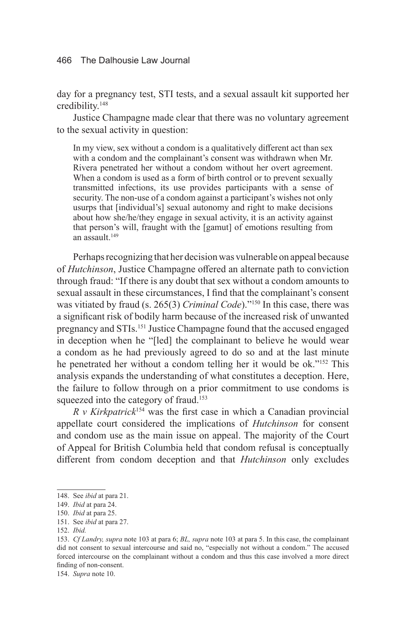day for a pregnancy test, STI tests, and a sexual assault kit supported her credibility.148

Justice Champagne made clear that there was no voluntary agreement to the sexual activity in question:

In my view, sex without a condom is a qualitatively different act than sex with a condom and the complainant's consent was withdrawn when Mr. Rivera penetrated her without a condom without her overt agreement. When a condom is used as a form of birth control or to prevent sexually transmitted infections, its use provides participants with a sense of security. The non-use of a condom against a participant's wishes not only usurps that [individual's] sexual autonomy and right to make decisions about how she/he/they engage in sexual activity, it is an activity against that person's will, fraught with the [gamut] of emotions resulting from an assault<sup>149</sup>

Perhaps recognizing that her decision was vulnerable on appeal because of *Hutchinson*, Justice Champagne offered an alternate path to conviction through fraud: "If there is any doubt that sex without a condom amounts to sexual assault in these circumstances, I find that the complainant's consent was vitiated by fraud (s. 265(3) *Criminal Code*)."150 In this case, there was a significant risk of bodily harm because of the increased risk of unwanted pregnancy and STIs.151 Justice Champagne found that the accused engaged in deception when he "[led] the complainant to believe he would wear a condom as he had previously agreed to do so and at the last minute he penetrated her without a condom telling her it would be ok."152 This analysis expands the understanding of what constitutes a deception. Here, the failure to follow through on a prior commitment to use condoms is squeezed into the category of fraud.<sup>153</sup>

*R v Kirkpatrick*<sup>154</sup> was the first case in which a Canadian provincial appellate court considered the implications of *Hutchinson* for consent and condom use as the main issue on appeal. The majority of the Court of Appeal for British Columbia held that condom refusal is conceptually different from condom deception and that *Hutchinson* only excludes

<sup>148.</sup> See *ibid* at para 21.

<sup>149.</sup> *Ibid* at para 24.

<sup>150.</sup> *Ibid* at para 25.

<sup>151.</sup> See *ibid* at para 27.

<sup>152.</sup> *Ibid.*

<sup>153.</sup> *Cf Landry, supra* note 103 at para 6; *BL, supra* note 103 at para 5. In this case, the complainant did not consent to sexual intercourse and said no, "especially not without a condom." The accused forced intercourse on the complainant without a condom and thus this case involved a more direct finding of non-consent.

<sup>154.</sup> *Supra* note 10.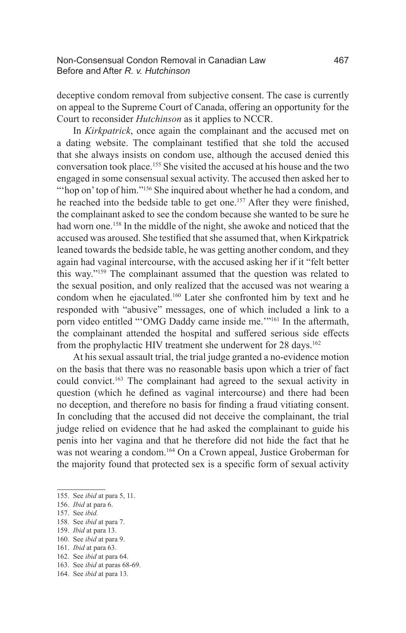deceptive condom removal from subjective consent. The case is currently on appeal to the Supreme Court of Canada, offering an opportunity for the Court to reconsider *Hutchinson* as it applies to NCCR.

In *Kirkpatrick*, once again the complainant and the accused met on a dating website. The complainant testified that she told the accused that she always insists on condom use, although the accused denied this conversation took place.155 She visited the accused at his house and the two engaged in some consensual sexual activity. The accused then asked her to "hop on' top of him."<sup>156</sup> She inquired about whether he had a condom, and he reached into the bedside table to get one.<sup>157</sup> After they were finished, the complainant asked to see the condom because she wanted to be sure he had worn one.<sup>158</sup> In the middle of the night, she awoke and noticed that the accused was aroused. She testified that she assumed that, when Kirkpatrick leaned towards the bedside table, he was getting another condom, and they again had vaginal intercourse, with the accused asking her if it "felt better this way."159 The complainant assumed that the question was related to the sexual position, and only realized that the accused was not wearing a condom when he ejaculated.160 Later she confronted him by text and he responded with "abusive" messages, one of which included a link to a porn video entitled "'OMG Daddy came inside me.'"<sup>161</sup> In the aftermath, the complainant attended the hospital and suffered serious side effects from the prophylactic HIV treatment she underwent for 28 days.<sup>162</sup>

At his sexual assault trial, the trial judge granted a no-evidence motion on the basis that there was no reasonable basis upon which a trier of fact could convict.163 The complainant had agreed to the sexual activity in question (which he defined as vaginal intercourse) and there had been no deception, and therefore no basis for finding a fraud vitiating consent. In concluding that the accused did not deceive the complainant, the trial judge relied on evidence that he had asked the complainant to guide his penis into her vagina and that he therefore did not hide the fact that he was not wearing a condom.<sup>164</sup> On a Crown appeal, Justice Groberman for the majority found that protected sex is a specific form of sexual activity

158. See *ibid* at para 7.

- 160. See *ibid* at para 9.
- 161. *Ibid* at para 63.
- 162. See *ibid* at para 64.
- 163. See *ibid* at paras 68-69.

<sup>155.</sup> See *ibid* at para 5, 11.

<sup>156.</sup> *Ibid* at para 6.

<sup>157.</sup> See *ibid.*

<sup>159.</sup> *Ibid* at para 13.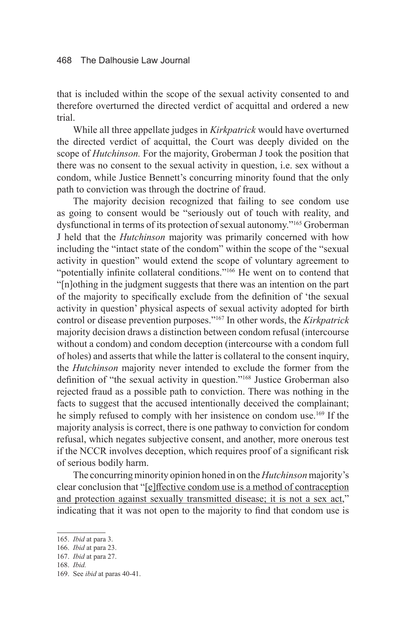that is included within the scope of the sexual activity consented to and therefore overturned the directed verdict of acquittal and ordered a new trial.

While all three appellate judges in *Kirkpatrick* would have overturned the directed verdict of acquittal, the Court was deeply divided on the scope of *Hutchinson.* For the majority, Groberman J took the position that there was no consent to the sexual activity in question, i.e. sex without a condom, while Justice Bennett's concurring minority found that the only path to conviction was through the doctrine of fraud.

The majority decision recognized that failing to see condom use as going to consent would be "seriously out of touch with reality, and dysfunctional in terms of its protection of sexual autonomy."165 Groberman J held that the *Hutchinson* majority was primarily concerned with how including the "intact state of the condom" within the scope of the "sexual activity in question" would extend the scope of voluntary agreement to "potentially infinite collateral conditions."<sup>166</sup> He went on to contend that "[n]othing in the judgment suggests that there was an intention on the part of the majority to specifically exclude from the definition of 'the sexual activity in question' physical aspects of sexual activity adopted for birth control or disease prevention purposes."167 In other words, the *Kirkpatrick*  majority decision draws a distinction between condom refusal (intercourse without a condom) and condom deception (intercourse with a condom full of holes) and asserts that while the latter is collateral to the consent inquiry, the *Hutchinson* majority never intended to exclude the former from the definition of "the sexual activity in question."168 Justice Groberman also rejected fraud as a possible path to conviction. There was nothing in the facts to suggest that the accused intentionally deceived the complainant; he simply refused to comply with her insistence on condom use.<sup>169</sup> If the majority analysis is correct, there is one pathway to conviction for condom refusal, which negates subjective consent, and another, more onerous test if the NCCR involves deception, which requires proof of a significant risk of serious bodily harm.

The concurring minority opinion honed in on the *Hutchinson* majority's clear conclusion that "[e]ffective condom use is a method of contraception and protection against sexually transmitted disease; it is not a sex act," indicating that it was not open to the majority to find that condom use is

<sup>165.</sup> *Ibid* at para 3.

<sup>166.</sup> *Ibid* at para 23.

<sup>167.</sup> *Ibid* at para 27.

<sup>168.</sup> *Ibid.* 

<sup>169.</sup> See *ibid* at paras 40-41.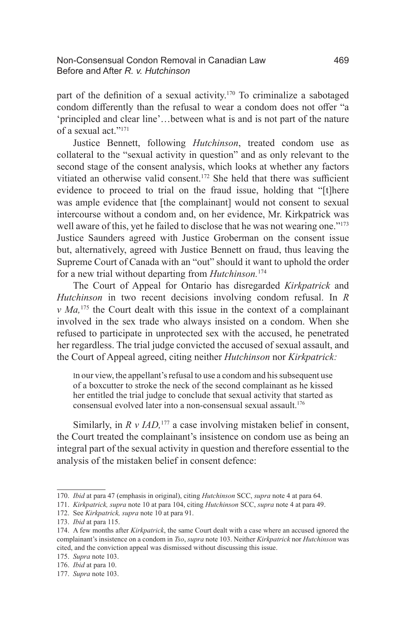#### Non-Consensual Condon Removal in Canadian Law 469 Before and After *R. v. Hutchinson*

part of the definition of a sexual activity.<sup>170</sup> To criminalize a sabotaged condom differently than the refusal to wear a condom does not offer "a 'principled and clear line'…between what is and is not part of the nature of a sexual act."171

Justice Bennett, following *Hutchinson*, treated condom use as collateral to the "sexual activity in question" and as only relevant to the second stage of the consent analysis, which looks at whether any factors vitiated an otherwise valid consent.172 She held that there was sufficient evidence to proceed to trial on the fraud issue, holding that "[t]here was ample evidence that [the complainant] would not consent to sexual intercourse without a condom and, on her evidence, Mr. Kirkpatrick was well aware of this, yet he failed to disclose that he was not wearing one."173 Justice Saunders agreed with Justice Groberman on the consent issue but, alternatively, agreed with Justice Bennett on fraud, thus leaving the Supreme Court of Canada with an "out" should it want to uphold the order for a new trial without departing from *Hutchinson.*<sup>174</sup>

The Court of Appeal for Ontario has disregarded *Kirkpatrick* and *Hutchinson* in two recent decisions involving condom refusal. In *R v Ma,*175 the Court dealt with this issue in the context of a complainant involved in the sex trade who always insisted on a condom. When she refused to participate in unprotected sex with the accused, he penetrated her regardless. The trial judge convicted the accused of sexual assault, and the Court of Appeal agreed, citing neither *Hutchinson* nor *Kirkpatrick:*

In our view, the appellant's refusal to use a condom and his subsequent use of a boxcutter to stroke the neck of the second complainant as he kissed her entitled the trial judge to conclude that sexual activity that started as consensual evolved later into a non-consensual sexual assault.176

Similarly, in *R v IAD*,<sup>177</sup> a case involving mistaken belief in consent, the Court treated the complainant's insistence on condom use as being an integral part of the sexual activity in question and therefore essential to the analysis of the mistaken belief in consent defence:

<sup>170.</sup> *Ibid* at para 47 (emphasis in original), citing *Hutchinson* SCC, *supra* note 4 at para 64.

<sup>171.</sup> *Kirkpatrick, supra* note 10 at para 104, citing *Hutchinson* SCC, *supra* note 4 at para 49.

<sup>172.</sup> See *Kirkpatrick, supra* note 10 at para 91.

<sup>173.</sup> *Ibid* at para 115.

<sup>174.</sup> A few months after *Kirkpatrick*, the same Court dealt with a case where an accused ignored the complainant's insistence on a condom in *Tso*, *supra* note 103. Neither *Kirkpatrick* nor *Hutchinson* was cited, and the conviction appeal was dismissed without discussing this issue.

<sup>175.</sup> *Supra* note 103.

<sup>176.</sup> *Ibid* at para 10.

<sup>177.</sup> *Supra* note 103.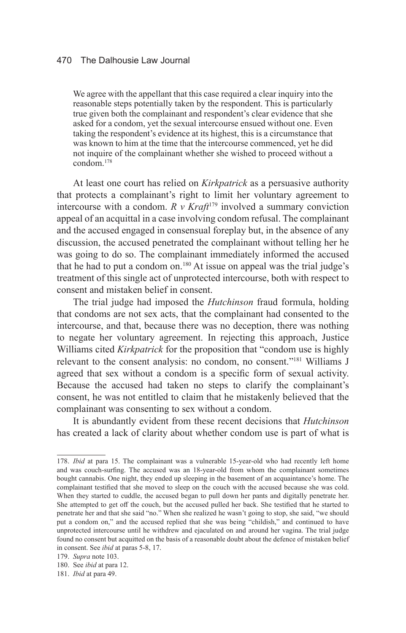We agree with the appellant that this case required a clear inquiry into the reasonable steps potentially taken by the respondent. This is particularly true given both the complainant and respondent's clear evidence that she asked for a condom, yet the sexual intercourse ensued without one. Even taking the respondent's evidence at its highest, this is a circumstance that was known to him at the time that the intercourse commenced, yet he did not inquire of the complainant whether she wished to proceed without a condom.178

At least one court has relied on *Kirkpatrick* as a persuasive authority that protects a complainant's right to limit her voluntary agreement to intercourse with a condom.  $R \, v$  *Kraft*<sup>179</sup> involved a summary conviction appeal of an acquittal in a case involving condom refusal. The complainant and the accused engaged in consensual foreplay but, in the absence of any discussion, the accused penetrated the complainant without telling her he was going to do so. The complainant immediately informed the accused that he had to put a condom on.<sup>180</sup> At issue on appeal was the trial judge's treatment of this single act of unprotected intercourse, both with respect to consent and mistaken belief in consent.

The trial judge had imposed the *Hutchinson* fraud formula, holding that condoms are not sex acts, that the complainant had consented to the intercourse, and that, because there was no deception, there was nothing to negate her voluntary agreement. In rejecting this approach, Justice Williams cited *Kirkpatrick* for the proposition that "condom use is highly relevant to the consent analysis: no condom, no consent."181 Williams J agreed that sex without a condom is a specific form of sexual activity. Because the accused had taken no steps to clarify the complainant's consent, he was not entitled to claim that he mistakenly believed that the complainant was consenting to sex without a condom.

It is abundantly evident from these recent decisions that *Hutchinson* has created a lack of clarity about whether condom use is part of what is

<sup>178.</sup> *Ibid* at para 15. The complainant was a vulnerable 15-year-old who had recently left home and was couch-surfing. The accused was an 18-year-old from whom the complainant sometimes bought cannabis. One night, they ended up sleeping in the basement of an acquaintance's home. The complainant testified that she moved to sleep on the couch with the accused because she was cold. When they started to cuddle, the accused began to pull down her pants and digitally penetrate her. She attempted to get off the couch, but the accused pulled her back. She testified that he started to penetrate her and that she said "no." When she realized he wasn't going to stop, she said, "we should put a condom on," and the accused replied that she was being "childish," and continued to have unprotected intercourse until he withdrew and ejaculated on and around her vagina. The trial judge found no consent but acquitted on the basis of a reasonable doubt about the defence of mistaken belief in consent. See *ibid* at paras 5-8, 17.

<sup>179.</sup> *Supra* note 103.

<sup>180.</sup> See *ibid* at para 12.

<sup>181.</sup> *Ibid* at para 49.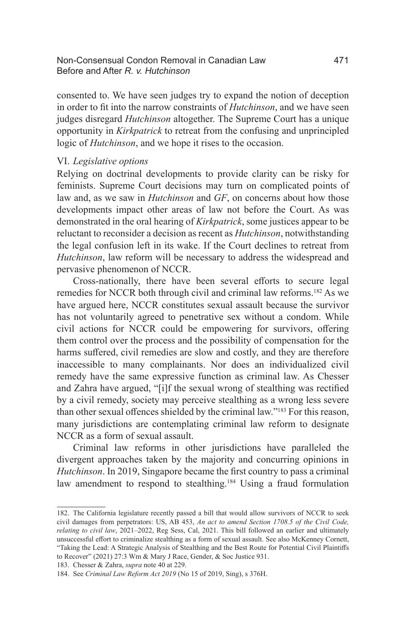#### Non-Consensual Condon Removal in Canadian Law 471 Before and After *R. v. Hutchinson*

consented to. We have seen judges try to expand the notion of deception in order to fit into the narrow constraints of *Hutchinson*, and we have seen judges disregard *Hutchinson* altogether. The Supreme Court has a unique opportunity in *Kirkpatrick* to retreat from the confusing and unprincipled logic of *Hutchinson*, and we hope it rises to the occasion.

#### VI. *Legislative options*

Relying on doctrinal developments to provide clarity can be risky for feminists. Supreme Court decisions may turn on complicated points of law and, as we saw in *Hutchinson* and *GF*, on concerns about how those developments impact other areas of law not before the Court. As was demonstrated in the oral hearing of *Kirkpatrick*, some justices appear to be reluctant to reconsider a decision as recent as *Hutchinson*, notwithstanding the legal confusion left in its wake. If the Court declines to retreat from *Hutchinson*, law reform will be necessary to address the widespread and pervasive phenomenon of NCCR.

Cross-nationally, there have been several efforts to secure legal remedies for NCCR both through civil and criminal law reforms.182 As we have argued here, NCCR constitutes sexual assault because the survivor has not voluntarily agreed to penetrative sex without a condom. While civil actions for NCCR could be empowering for survivors, offering them control over the process and the possibility of compensation for the harms suffered, civil remedies are slow and costly, and they are therefore inaccessible to many complainants. Nor does an individualized civil remedy have the same expressive function as criminal law. As Chesser and Zahra have argued, "[i]f the sexual wrong of stealthing was rectified by a civil remedy, society may perceive stealthing as a wrong less severe than other sexual offences shielded by the criminal law."183 For this reason, many jurisdictions are contemplating criminal law reform to designate NCCR as a form of sexual assault.

Criminal law reforms in other jurisdictions have paralleled the divergent approaches taken by the majority and concurring opinions in *Hutchinson*. In 2019, Singapore became the first country to pass a criminal law amendment to respond to stealthing.<sup>184</sup> Using a fraud formulation

<sup>182.</sup> The California legislature recently passed a bill that would allow survivors of NCCR to seek civil damages from perpetrators: US, AB 453, *An act to amend Section 1708.5 of the Civil Code, relating to civil law*, 2021–2022, Reg Sess, Cal, 2021. This bill followed an earlier and ultimately unsuccessful effort to criminalize stealthing as a form of sexual assault. See also McKenney Cornett, "Taking the Lead: A Strategic Analysis of Stealthing and the Best Route for Potential Civil Plaintiffs to Recover" (2021) 27:3 Wm & Mary J Race, Gender, & Soc Justice 931.

<sup>183.</sup> Chesser & Zahra, *supra* note 40 at 229.

<sup>184.</sup> See *Criminal Law Reform Act 2019* (No 15 of 2019, Sing), s 376H.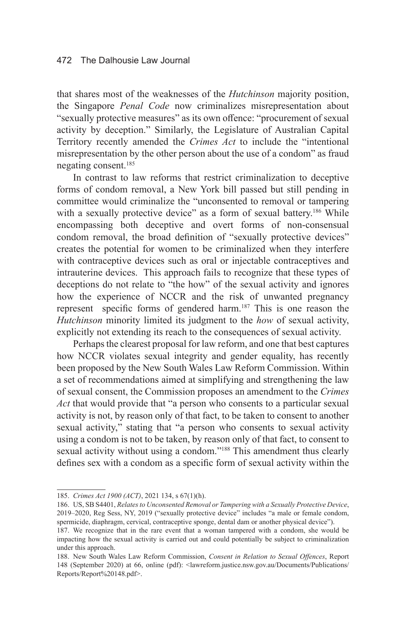that shares most of the weaknesses of the *Hutchinson* majority position, the Singapore *Penal Code* now criminalizes misrepresentation about "sexually protective measures" as its own offence: "procurement of sexual activity by deception." Similarly, the Legislature of Australian Capital Territory recently amended the *Crimes Act* to include the "intentional misrepresentation by the other person about the use of a condom" as fraud negating consent.185

In contrast to law reforms that restrict criminalization to deceptive forms of condom removal, a New York bill passed but still pending in committee would criminalize the "unconsented to removal or tampering with a sexually protective device" as a form of sexual battery.<sup>186</sup> While encompassing both deceptive and overt forms of non-consensual condom removal, the broad definition of "sexually protective devices" creates the potential for women to be criminalized when they interfere with contraceptive devices such as oral or injectable contraceptives and intrauterine devices. This approach fails to recognize that these types of deceptions do not relate to "the how" of the sexual activity and ignores how the experience of NCCR and the risk of unwanted pregnancy represent specific forms of gendered harm.187 This is one reason the *Hutchinson* minority limited its judgment to the *how* of sexual activity, explicitly not extending its reach to the consequences of sexual activity.

Perhaps the clearest proposal for law reform, and one that best captures how NCCR violates sexual integrity and gender equality, has recently been proposed by the New South Wales Law Reform Commission. Within a set of recommendations aimed at simplifying and strengthening the law of sexual consent, the Commission proposes an amendment to the *Crimes Act* that would provide that "a person who consents to a particular sexual activity is not, by reason only of that fact, to be taken to consent to another sexual activity," stating that "a person who consents to sexual activity using a condom is not to be taken, by reason only of that fact, to consent to sexual activity without using a condom."<sup>188</sup> This amendment thus clearly defines sex with a condom as a specific form of sexual activity within the

<sup>185.</sup> *Crimes Act 1900 (ACT)*, 2021 134, s 67(1)(h).

<sup>186.</sup> US, SB S4401, *Relates to Unconsented Removal or Tampering with a Sexually Protective Device*, 2019–2020, Reg Sess, NY, 2019 ("sexually protective device" includes "a male or female condom, spermicide, diaphragm, cervical, contraceptive sponge, dental dam or another physical device").

<sup>187.</sup> We recognize that in the rare event that a woman tampered with a condom, she would be impacting how the sexual activity is carried out and could potentially be subject to criminalization under this approach.

<sup>188.</sup> New South Wales Law Reform Commission, *Consent in Relation to Sexual Offences*, Report 148 (September 2020) at 66, online (pdf): <lawreform.justice.nsw.gov.au/Documents/Publications/ Reports/Report%20148.pdf>.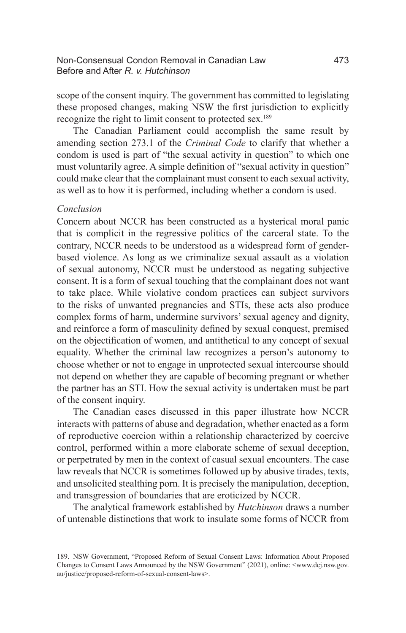#### Non-Consensual Condon Removal in Canadian Law 473 Before and After *R. v. Hutchinson*

scope of the consent inquiry. The government has committed to legislating these proposed changes, making NSW the first jurisdiction to explicitly recognize the right to limit consent to protected sex.189

The Canadian Parliament could accomplish the same result by amending section 273.1 of the *Criminal Code* to clarify that whether a condom is used is part of "the sexual activity in question" to which one must voluntarily agree. A simple definition of "sexual activity in question" could make clear that the complainant must consent to each sexual activity, as well as to how it is performed, including whether a condom is used.

#### *Conclusion*

Concern about NCCR has been constructed as a hysterical moral panic that is complicit in the regressive politics of the carceral state. To the contrary, NCCR needs to be understood as a widespread form of genderbased violence. As long as we criminalize sexual assault as a violation of sexual autonomy, NCCR must be understood as negating subjective consent. It is a form of sexual touching that the complainant does not want to take place. While violative condom practices can subject survivors to the risks of unwanted pregnancies and STIs, these acts also produce complex forms of harm, undermine survivors' sexual agency and dignity, and reinforce a form of masculinity defined by sexual conquest, premised on the objectification of women, and antithetical to any concept of sexual equality. Whether the criminal law recognizes a person's autonomy to choose whether or not to engage in unprotected sexual intercourse should not depend on whether they are capable of becoming pregnant or whether the partner has an STI. How the sexual activity is undertaken must be part of the consent inquiry.

The Canadian cases discussed in this paper illustrate how NCCR interacts with patterns of abuse and degradation, whether enacted as a form of reproductive coercion within a relationship characterized by coercive control, performed within a more elaborate scheme of sexual deception, or perpetrated by men in the context of casual sexual encounters. The case law reveals that NCCR is sometimes followed up by abusive tirades, texts, and unsolicited stealthing porn. It is precisely the manipulation, deception, and transgression of boundaries that are eroticized by NCCR.

The analytical framework established by *Hutchinson* draws a number of untenable distinctions that work to insulate some forms of NCCR from

<sup>189.</sup> NSW Government, "Proposed Reform of Sexual Consent Laws: Information About Proposed Changes to Consent Laws Announced by the NSW Government" (2021), online: <www.dcj.nsw.gov. au/justice/proposed-reform-of-sexual-consent-laws>.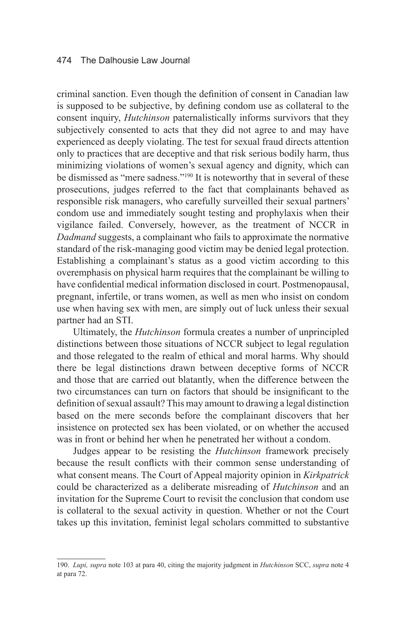#### 474 The Dalhousie Law Journal

criminal sanction. Even though the definition of consent in Canadian law is supposed to be subjective, by defining condom use as collateral to the consent inquiry, *Hutchinson* paternalistically informs survivors that they subjectively consented to acts that they did not agree to and may have experienced as deeply violating. The test for sexual fraud directs attention only to practices that are deceptive and that risk serious bodily harm, thus minimizing violations of women's sexual agency and dignity, which can be dismissed as "mere sadness."<sup>190</sup> It is noteworthy that in several of these prosecutions, judges referred to the fact that complainants behaved as responsible risk managers, who carefully surveilled their sexual partners' condom use and immediately sought testing and prophylaxis when their vigilance failed. Conversely, however, as the treatment of NCCR in *Dadmand* suggests, a complainant who fails to approximate the normative standard of the risk-managing good victim may be denied legal protection. Establishing a complainant's status as a good victim according to this overemphasis on physical harm requires that the complainant be willing to have confidential medical information disclosed in court. Postmenopausal, pregnant, infertile, or trans women, as well as men who insist on condom use when having sex with men, are simply out of luck unless their sexual partner had an STI.

Ultimately, the *Hutchinson* formula creates a number of unprincipled distinctions between those situations of NCCR subject to legal regulation and those relegated to the realm of ethical and moral harms. Why should there be legal distinctions drawn between deceptive forms of NCCR and those that are carried out blatantly, when the difference between the two circumstances can turn on factors that should be insignificant to the definition of sexual assault? This may amount to drawing a legal distinction based on the mere seconds before the complainant discovers that her insistence on protected sex has been violated, or on whether the accused was in front or behind her when he penetrated her without a condom.

Judges appear to be resisting the *Hutchinson* framework precisely because the result conflicts with their common sense understanding of what consent means. The Court of Appeal majority opinion in *Kirkpatrick* could be characterized as a deliberate misreading of *Hutchinson* and an invitation for the Supreme Court to revisit the conclusion that condom use is collateral to the sexual activity in question. Whether or not the Court takes up this invitation, feminist legal scholars committed to substantive

<sup>190.</sup> *Lupi, supra* note 103 at para 40, citing the majority judgment in *Hutchinson* SCC, *supra* note 4 at para 72.